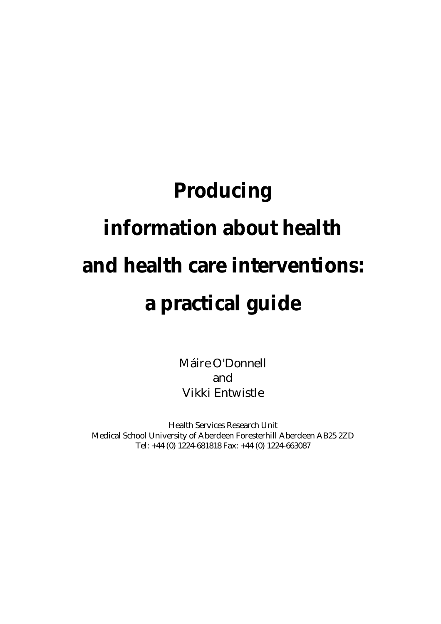# **Producing information about health and health care interventions: a practical guide**

Máire O'Donnell and Vikki Entwistle

Health Services Research Unit Medical School University of Aberdeen Foresterhill Aberdeen AB25 2ZD Tel: +44 (0) 1224-681818 Fax: +44 (0) 1224-663087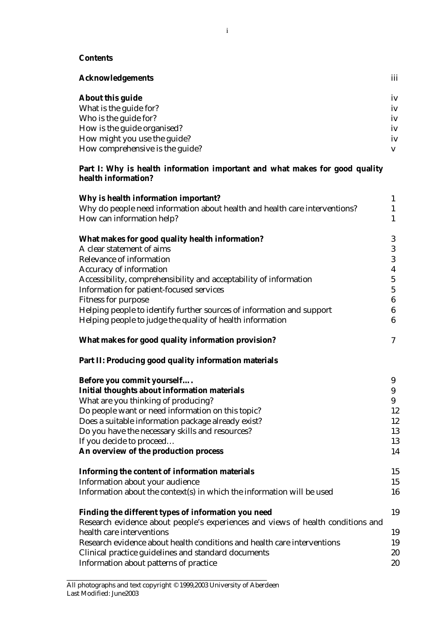#### **Contents**

| <b>Acknowledgements</b>         | iii |
|---------------------------------|-----|
| About this guide                | iv  |
| What is the guide for?          | iv  |
| Who is the guide for?           | iv  |
| How is the guide organised?     | iv  |
| How might you use the guide?    | iv  |
| How comprehensive is the guide? |     |

#### **Part I: Why is health information important and what makes for good quality health information?**

| Why is health information important?                                            | $\mathbf{1}$            |
|---------------------------------------------------------------------------------|-------------------------|
| Why do people need information about health and health care interventions?      | 1                       |
| How can information help?                                                       | $\mathbf{1}$            |
| What makes for good quality health information?                                 | 3                       |
| A clear statement of aims                                                       | 3                       |
| Relevance of information                                                        | 3                       |
| Accuracy of information                                                         | $\overline{\mathbf{4}}$ |
| Accessibility, comprehensibility and acceptability of information               | $\mathbf 5$             |
| Information for patient-focused services                                        | $\overline{5}$          |
| <b>Fitness for purpose</b>                                                      | $6\phantom{.}6$         |
| Helping people to identify further sources of information and support           | $6\phantom{.}6$         |
| Helping people to judge the quality of health information                       | $6\phantom{1}$          |
| What makes for good quality information provision?                              | 7                       |
| Part II: Producing good quality information materials                           |                         |
| Before you commit yourself                                                      | 9                       |
| <b>Initial thoughts about information materials</b>                             | 9                       |
| What are you thinking of producing?                                             | 9                       |
| Do people want or need information on this topic?                               | 12                      |
| Does a suitable information package already exist?                              | 12                      |
| Do you have the necessary skills and resources?                                 | 13                      |
| If you decide to proceed                                                        | 13                      |
| An overview of the production process                                           | 14                      |
| Informing the content of information materials                                  | 15                      |
| Information about your audience                                                 | 15                      |
| Information about the context(s) in which the information will be used          | 16                      |
| Finding the different types of information you need                             | 19                      |
| Research evidence about people's experiences and views of health conditions and |                         |
| health care interventions                                                       | 19                      |
| Research evidence about health conditions and health care interventions         | 19                      |
| Clinical practice guidelines and standard documents                             | 20                      |
| Information about patterns of practice                                          | 20                      |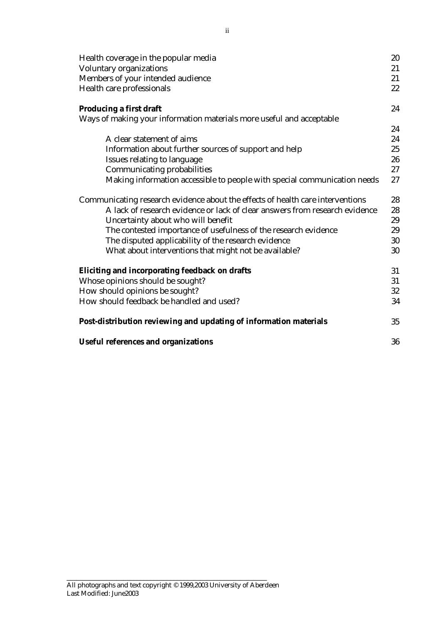| Health coverage in the popular media                                           |          |  |
|--------------------------------------------------------------------------------|----------|--|
| Voluntary organizations                                                        |          |  |
| Members of your intended audience                                              |          |  |
| Health care professionals                                                      |          |  |
| Producing a first draft                                                        | 24       |  |
| Ways of making your information materials more useful and acceptable           |          |  |
|                                                                                | 24       |  |
| A clear statement of aims                                                      | 24       |  |
| Information about further sources of support and help                          | 25       |  |
| Issues relating to language                                                    | 26       |  |
| Communicating probabilities                                                    | $27\,$   |  |
| Making information accessible to people with special communication needs       | 27       |  |
| Communicating research evidence about the effects of health care interventions |          |  |
| A lack of research evidence or lack of clear answers from research evidence    | 28<br>28 |  |
| Uncertainty about who will benefit                                             | 29       |  |
| The contested importance of usefulness of the research evidence                | 29       |  |
| The disputed applicability of the research evidence                            | 30       |  |
| What about interventions that might not be available?                          | 30       |  |
| Eliciting and incorporating feedback on drafts                                 | 31       |  |
| Whose opinions should be sought?                                               | 31       |  |
| How should opinions be sought?                                                 |          |  |
| How should feedback be handled and used?                                       | 32<br>34 |  |
|                                                                                |          |  |
| Post-distribution reviewing and updating of information materials              | 35       |  |
| <b>Useful references and organizations</b>                                     | 36       |  |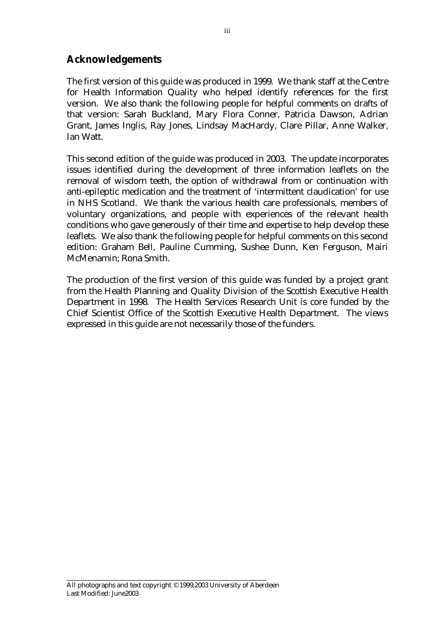## **Acknowledgements**

The first version of this guide was produced in 1999. We thank staff at the Centre for Health Information Quality who helped identify references for the first version. We also thank the following people for helpful comments on drafts of that version: Sarah Buckland, Mary Flora Conner, Patricia Dawson, Adrian Grant, James Inglis, Ray Jones, Lindsay MacHardy, Clare Pillar, Anne Walker, Ian Watt.

This second edition of the guide was produced in 2003. The update incorporates issues identified during the development of three information leaflets on the removal of wisdom teeth, the option of withdrawal from or continuation with anti-epileptic medication and the treatment of 'intermittent claudication' for use in NHS Scotland. We thank the various health care professionals, members of voluntary organizations, and people with experiences of the relevant health conditions who gave generously of their time and expertise to help develop these leaflets. We also thank the following people for helpful comments on this second edition: Graham Bell, Pauline Cumming, Sushee Dunn, Ken Ferguson, Mairi McMenamin; Rona Smith.

The production of the first version of this guide was funded by a project grant from the Health Planning and Quality Division of the Scottish Executive Health Department in 1998. The Health Services Research Unit is core funded by the Chief Scientist Office of the Scottish Executive Health Department. The views expressed in this guide are not necessarily those of the funders.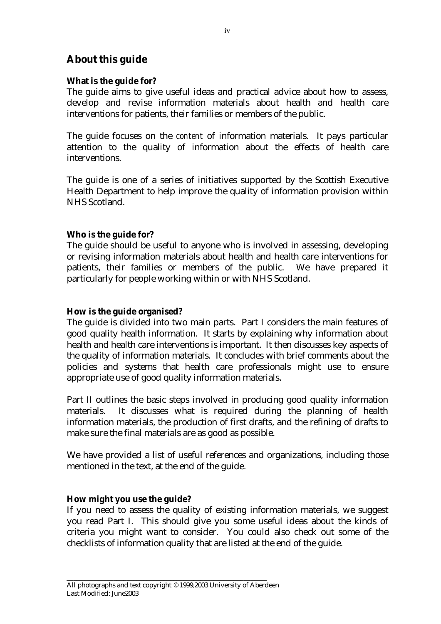## **About this guide**

## **What is the guide for?**

The guide aims to give useful ideas and practical advice about how to assess, develop and revise information materials about health and health care interventions for patients, their families or members of the public.

The guide focuses on the *content* of information materials. It pays particular attention to the quality of information about the effects of health care interventions.

The guide is one of a series of initiatives supported by the Scottish Executive Health Department to help improve the quality of information provision within NHS Scotland.

## **Who is the guide for?**

The guide should be useful to anyone who is involved in assessing, developing or revising information materials about health and health care interventions for patients, their families or members of the public. We have prepared it particularly for people working within or with NHS Scotland.

## **How is the guide organised?**

The guide is divided into two main parts. Part I considers the main features of good quality health information. It starts by explaining why information about health and health care interventions is important. It then discusses key aspects of the quality of information materials. It concludes with brief comments about the policies and systems that health care professionals might use to ensure appropriate use of good quality information materials.

Part II outlines the basic steps involved in producing good quality information materials. It discusses what is required during the planning of health information materials, the production of first drafts, and the refining of drafts to make sure the final materials are as good as possible.

We have provided a list of useful references and organizations, including those mentioned in the text, at the end of the guide.

## **How might you use the guide?**

If you need to assess the quality of existing information materials, we suggest you read Part I. This should give you some useful ideas about the kinds of criteria you might want to consider. You could also check out some of the checklists of information quality that are listed at the end of the guide.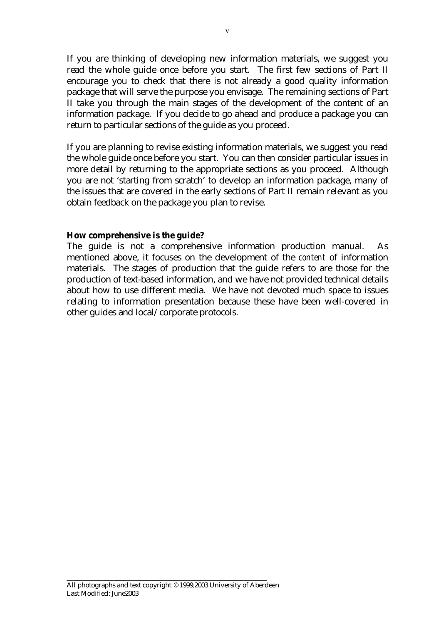If you are thinking of developing new information materials, we suggest you read the whole guide once before you start. The first few sections of Part II encourage you to check that there is not already a good quality information package that will serve the purpose you envisage. The remaining sections of Part II take you through the main stages of the development of the content of an information package. If you decide to go ahead and produce a package you can return to particular sections of the guide as you proceed.

If you are planning to revise existing information materials, we suggest you read the whole guide once before you start. You can then consider particular issues in more detail by returning to the appropriate sections as you proceed. Although you are not 'starting from scratch' to develop an information package, many of the issues that are covered in the early sections of Part II remain relevant as you obtain feedback on the package you plan to revise.

#### **How comprehensive is the guide?**

The guide is not a comprehensive information production manual. As mentioned above, it focuses on the development of the *content* of information materials. The stages of production that the guide refers to are those for the production of text-based information, and we have not provided technical details about how to use different media. We have not devoted much space to issues relating to information presentation because these have been well-covered in other guides and local/corporate protocols.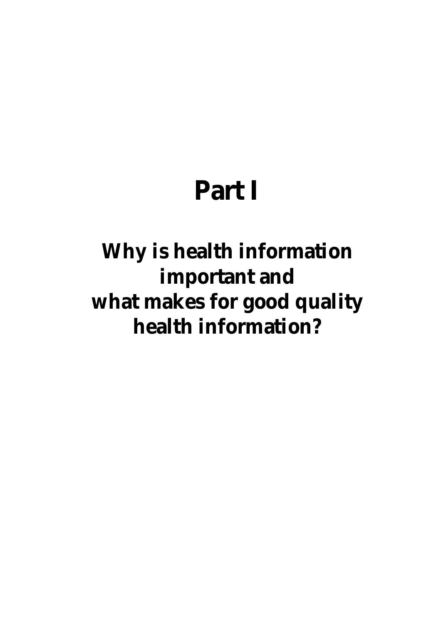## **Part I**

## **Why is health information important and what makes for good quality health information?**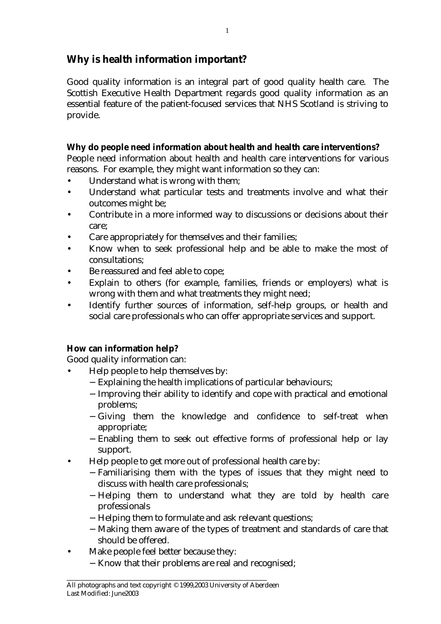## **Why is health information important?**

Good quality information is an integral part of good quality health care. The Scottish Executive Health Department regards good quality information as an essential feature of the patient-focused services that NHS Scotland is striving to provide.

## **Why do people need information about health and health care interventions?**

People need information about health and health care interventions for various reasons. For example, they might want information so they can:

- Understand what is wrong with them;
- Understand what particular tests and treatments involve and what their outcomes might be;
- Contribute in a more informed way to discussions or decisions about their care;
- Care appropriately for themselves and their families;
- Know when to seek professional help and be able to make the most of consultations;
- Be reassured and feel able to cope;
- Explain to others (for example, families, friends or employers) what is wrong with them and what treatments they might need;
- Identify further sources of information, self-help groups, or health and social care professionals who can offer appropriate services and support.

## **How can information help?**

Good quality information can:

- Help people to help themselves by:
	- − Explaining the health implications of particular behaviours;
	- − Improving their ability to identify and cope with practical and emotional problems;
	- − Giving them the knowledge and confidence to self-treat when appropriate;
	- − Enabling them to seek out effective forms of professional help or lay support.
- Help people to get more out of professional health care by:
	- − Familiarising them with the types of issues that they might need to discuss with health care professionals;
	- − Helping them to understand what they are told by health care professionals
	- − Helping them to formulate and ask relevant questions;
	- − Making them aware of the types of treatment and standards of care that should be offered.
- Make people feel better because they:
	- − Know that their problems are real and recognised;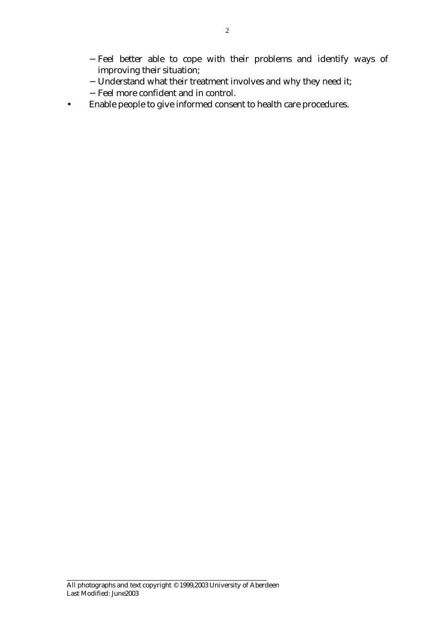- − Feel better able to cope with their problems and identify ways of improving their situation;
- − Understand what their treatment involves and why they need it;
- − Feel more confident and in control.
- Enable people to give informed consent to health care procedures.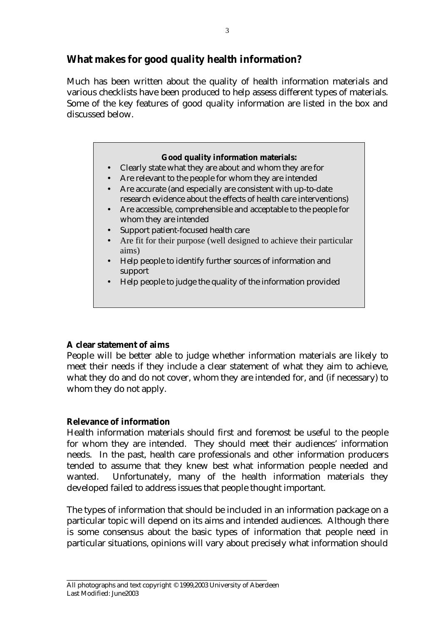## **What makes for good quality health information?**

Much has been written about the quality of health information materials and various checklists have been produced to help assess different types of materials. Some of the key features of good quality information are listed in the box and discussed below.

### **Good quality information materials:**

- Clearly state what they are about and whom they are for
- Are relevant to the people for whom they are intended
- Are accurate (and especially are consistent with up-to-date research evidence about the effects of health care interventions)
- Are accessible, comprehensible and acceptable to the people for whom they are intended
- Support patient-focused health care
- Are fit for their purpose (well designed to achieve their particular aims)
- Help people to identify further sources of information and support
- Help people to judge the quality of the information provided

## **A clear statement of aims**

People will be better able to judge whether information materials are likely to meet their needs if they include a clear statement of what they aim to achieve, what they do and do not cover, whom they are intended for, and (if necessary) to whom they do not apply.

## **Relevance of information**

Health information materials should first and foremost be useful to the people for whom they are intended. They should meet their audiences' information needs. In the past, health care professionals and other information producers tended to assume that they knew best what information people needed and wanted. Unfortunately, many of the health information materials they developed failed to address issues that people thought important.

The types of information that should be included in an information package on a particular topic will depend on its aims and intended audiences. Although there is some consensus about the basic types of information that people need in particular situations, opinions will vary about precisely what information should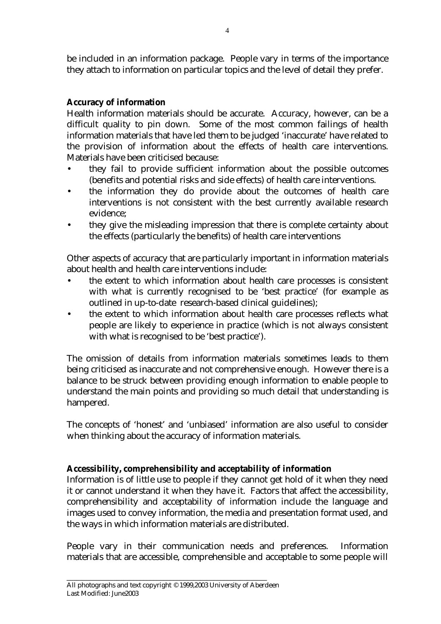be included in an information package. People vary in terms of the importance they attach to information on particular topics and the level of detail they prefer.

## **Accuracy of information**

Health information materials should be accurate. Accuracy, however, can be a difficult quality to pin down. Some of the most common failings of health information materials that have led them to be judged 'inaccurate' have related to the provision of information about the effects of health care interventions. Materials have been criticised because:

- they fail to provide sufficient information about the possible outcomes (benefits and potential risks and side effects) of health care interventions.
- the information they do provide about the outcomes of health care interventions is not consistent with the best currently available research evidence;
- they give the misleading impression that there is complete certainty about the effects (particularly the benefits) of health care interventions

Other aspects of accuracy that are particularly important in information materials about health and health care interventions include:

- the extent to which information about health care processes is consistent with what is currently recognised to be 'best practice' (for example as outlined in up-to-date research-based clinical guidelines);
- the extent to which information about health care processes reflects what people are likely to experience in practice (which is not always consistent with what is recognised to be 'best practice').

The omission of details from information materials sometimes leads to them being criticised as inaccurate and not comprehensive enough. However there is a balance to be struck between providing enough information to enable people to understand the main points and providing so much detail that understanding is hampered.

The concepts of 'honest' and 'unbiased' information are also useful to consider when thinking about the accuracy of information materials.

## **Accessibility, comprehensibility and acceptability of information**

Information is of little use to people if they cannot get hold of it when they need it or cannot understand it when they have it. Factors that affect the accessibility, comprehensibility and acceptability of information include the language and images used to convey information, the media and presentation format used, and the ways in which information materials are distributed.

People vary in their communication needs and preferences. Information materials that are accessible, comprehensible and acceptable to some people will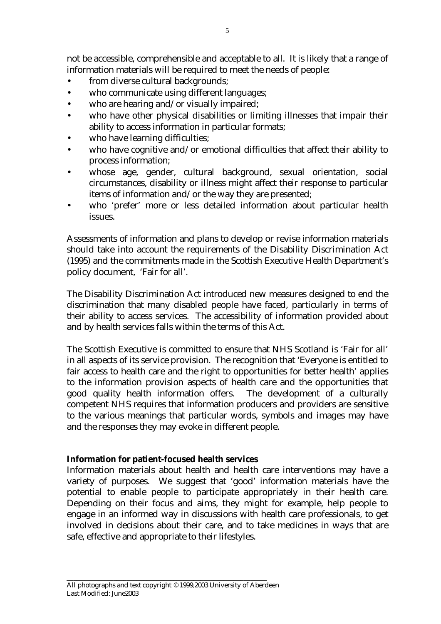not be accessible, comprehensible and acceptable to all. It is likely that a range of information materials will be required to meet the needs of people:

- from diverse cultural backgrounds;
- who communicate using different languages;
- who are hearing and/or visually impaired;
- who have other physical disabilities or limiting illnesses that impair their ability to access information in particular formats;
- who have learning difficulties;
- who have cognitive and/or emotional difficulties that affect their ability to process information;
- whose age, gender, cultural background, sexual orientation, social circumstances, disability or illness might affect their response to particular items of information and/or the way they are presented;
- who 'prefer' more or less detailed information about particular health issues.

Assessments of information and plans to develop or revise information materials should take into account the requirements of the Disability Discrimination Act (1995) and the commitments made in the Scottish Executive Health Department's policy document, 'Fair for all'.

The Disability Discrimination Act introduced new measures designed to end the discrimination that many disabled people have faced, particularly in terms of their ability to access services. The accessibility of information provided about and by health services falls within the terms of this Act.

The Scottish Executive is committed to ensure that NHS Scotland is 'Fair for all' in all aspects of its service provision. The recognition that 'Everyone is entitled to fair access to health care and the right to opportunities for better health' applies to the information provision aspects of health care and the opportunities that good quality health information offers. The development of a culturally competent NHS requires that information producers and providers are sensitive to the various meanings that particular words, symbols and images may have and the responses they may evoke in different people.

## **Information for patient-focused health services**

Information materials about health and health care interventions may have a variety of purposes. We suggest that 'good' information materials have the potential to enable people to participate appropriately in their health care. Depending on their focus and aims, they might for example, help people to engage in an informed way in discussions with health care professionals, to get involved in decisions about their care, and to take medicines in ways that are safe, effective and appropriate to their lifestyles.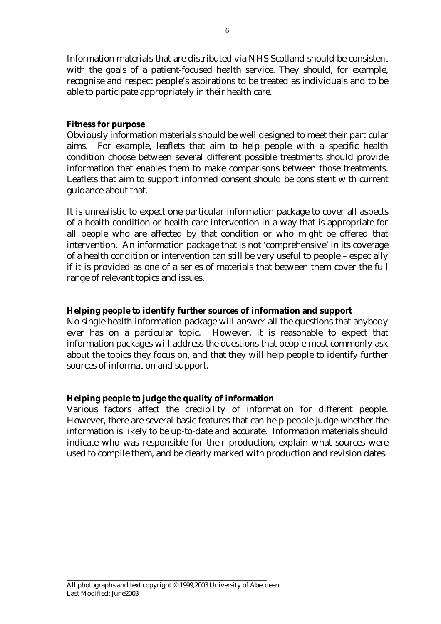Information materials that are distributed via NHS Scotland should be consistent with the goals of a patient-focused health service. They should, for example, recognise and respect people's aspirations to be treated as individuals and to be able to participate appropriately in their health care.

## **Fitness for purpose**

Obviously information materials should be well designed to meet their particular aims. For example, leaflets that aim to help people with a specific health condition choose between several different possible treatments should provide information that enables them to make comparisons between those treatments. Leaflets that aim to support informed consent should be consistent with current guidance about that.

It is unrealistic to expect one particular information package to cover all aspects of a health condition or health care intervention in a way that is appropriate for all people who are affected by that condition or who might be offered that intervention. An information package that is not 'comprehensive' in its coverage of a health condition or intervention can still be very useful to people – especially if it is provided as one of a series of materials that between them cover the full range of relevant topics and issues.

## **Helping people to identify further sources of information and support**

No single health information package will answer all the questions that anybody ever has on a particular topic. However, it is reasonable to expect that information packages will address the questions that people most commonly ask about the topics they focus on, and that they will help people to identify further sources of information and support.

## **Helping people to judge the quality of information**

Various factors affect the credibility of information for different people. However, there are several basic features that can help people judge whether the information is likely to be up-to-date and accurate. Information materials should indicate who was responsible for their production, explain what sources were used to compile them, and be clearly marked with production and revision dates.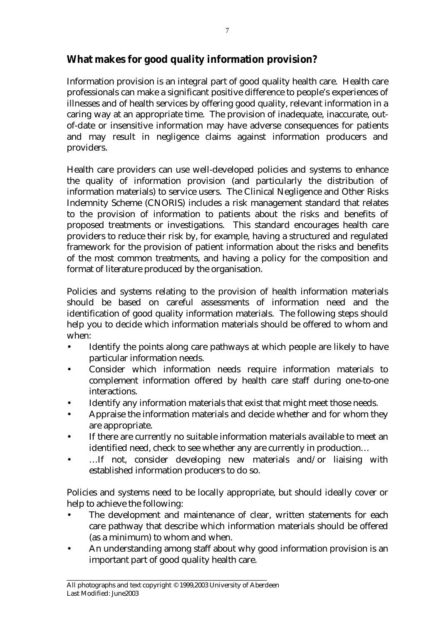## **What makes for good quality information provision?**

Information provision is an integral part of good quality health care. Health care professionals can make a significant positive difference to people's experiences of illnesses and of health services by offering good quality, relevant information in a caring way at an appropriate time. The provision of inadequate, inaccurate, outof-date or insensitive information may have adverse consequences for patients and may result in negligence claims against information producers and providers.

Health care providers can use well-developed policies and systems to enhance the quality of information provision (and particularly the distribution of information materials) to service users. The Clinical Negligence and Other Risks Indemnity Scheme (CNORIS) includes a risk management standard that relates to the provision of information to patients about the risks and benefits of proposed treatments or investigations. This standard encourages health care providers to reduce their risk by, for example, having a structured and regulated framework for the provision of patient information about the risks and benefits of the most common treatments, and having a policy for the composition and format of literature produced by the organisation.

Policies and systems relating to the provision of health information materials should be based on careful assessments of information need and the identification of good quality information materials. The following steps should help you to decide which information materials should be offered to whom and when:

- Identify the points along care pathways at which people are likely to have particular information needs.
- Consider which information needs require information materials to complement information offered by health care staff during one-to-one interactions.
- Identify any information materials that exist that might meet those needs.
- Appraise the information materials and decide whether and for whom they are appropriate.
- If there are currently no suitable information materials available to meet an identified need, check to see whether any are currently in production…
- ...If not, consider developing new materials and/or liaising with established information producers to do so.

Policies and systems need to be locally appropriate, but should ideally cover or help to achieve the following:

- The development and maintenance of clear, written statements for each care pathway that describe which information materials should be offered (as a minimum) to whom and when.
- An understanding among staff about why good information provision is an important part of good quality health care.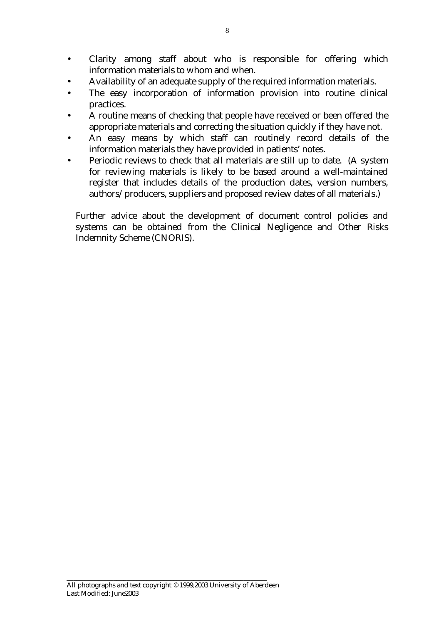- Clarity among staff about who is responsible for offering which information materials to whom and when.
- Availability of an adequate supply of the required information materials.
- The easy incorporation of information provision into routine clinical practices.
- A routine means of checking that people have received or been offered the appropriate materials and correcting the situation quickly if they have not.
- An easy means by which staff can routinely record details of the information materials they have provided in patients' notes.
- Periodic reviews to check that all materials are still up to date. (A system for reviewing materials is likely to be based around a well-maintained register that includes details of the production dates, version numbers, authors/producers, suppliers and proposed review dates of all materials.)

Further advice about the development of document control policies and systems can be obtained from the Clinical Negligence and Other Risks Indemnity Scheme (CNORIS).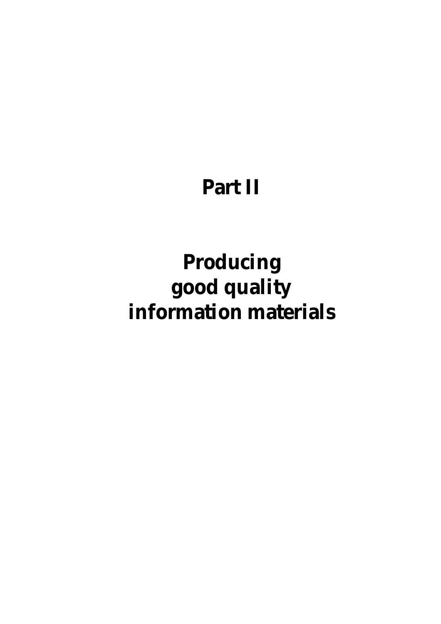## **Part II**

## **Producing good quality information materials**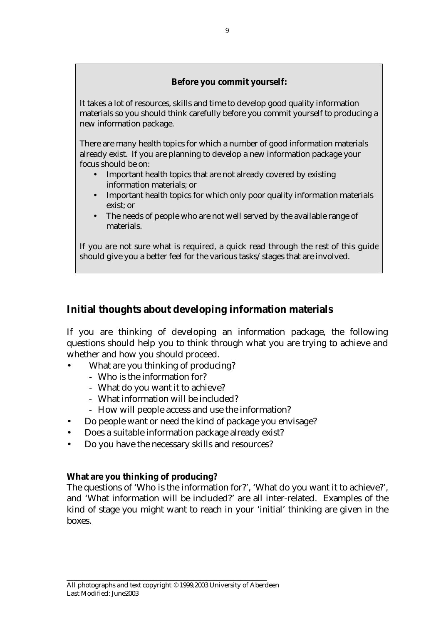## **Before you commit yourself:**

It takes a lot of resources, skills and time to develop good quality information materials so you should think carefully before you commit yourself to producing a new information package.

There are many health topics for which a number of good information materials already exist. If you are planning to develop a new information package your focus should be on:

- Important health topics that are not already covered by existing information materials; or
- Important health topics for which only poor quality information materials exist; or
- The needs of people who are not well served by the available range of materials.

If you are not sure what is required, a quick read through the rest of this guide should give you a better feel for the various tasks/stages that are involved.

## **Initial thoughts about developing information materials**

If you are thinking of developing an information package, the following questions should help you to think through what you are trying to achieve and whether and how you should proceed.

- What are you thinking of producing?
	- Who is the information for?
	- What do you want it to achieve?
	- What information will be included?
	- How will people access and use the information?
- Do people want or need the kind of package you envisage?
- Does a suitable information package already exist?
- Do you have the necessary skills and resources?

## **What are you thinking of producing?**

The questions of 'Who is the information for?', 'What do you want it to achieve?', and 'What information will be included?' are all inter-related. Examples of the kind of stage you might want to reach in your 'initial' thinking are given in the boxes.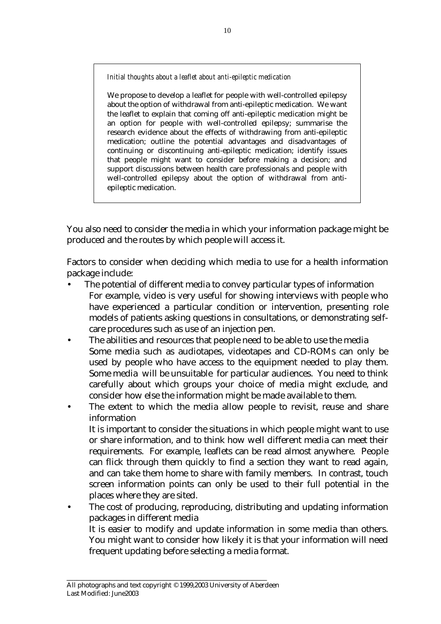*Initial thoughts about a leaflet about anti-epileptic medication* 

We propose to develop a leaflet for people with well-controlled epilepsy about the option of withdrawal from anti-epileptic medication. We want the leaflet to explain that coming off anti-epileptic medication might be an option for people with well-controlled epilepsy; summarise the research evidence about the effects of withdrawing from anti-epileptic medication; outline the potential advantages and disadvantages of continuing or discontinuing anti-epileptic medication; identify issues that people might want to consider before making a decision; and support discussions between health care professionals and people with well-controlled epilepsy about the option of withdrawal from antiepileptic medication.

You also need to consider the media in which your information package might be produced and the routes by which people will access it.

Factors to consider when deciding which media to use for a health information package include:

- The potential of different media to convey particular types of information For example, video is very useful for showing interviews with people who have experienced a particular condition or intervention, presenting role models of patients asking questions in consultations, or demonstrating selfcare procedures such as use of an injection pen.
- The abilities and resources that people need to be able to use the media Some media such as audiotapes, videotapes and CD-ROMs can only be used by people who have access to the equipment needed to play them. Some media will be unsuitable for particular audiences. You need to think carefully about which groups your choice of media might exclude, and consider how else the information might be made available to them.
- The extent to which the media allow people to revisit, reuse and share information

 It is important to consider the situations in which people might want to use or share information, and to think how well different media can meet their requirements. For example, leaflets can be read almost anywhere. People can flick through them quickly to find a section they want to read again, and can take them home to share with family members. In contrast, touch screen information points can only be used to their full potential in the places where they are sited.

The cost of producing, reproducing, distributing and updating information packages in different media It is easier to modify and update information in some media than others. You might want to consider how likely it is that your information will need frequent updating before selecting a media format.

\_\_\_\_\_\_\_\_\_\_\_\_\_\_\_\_\_\_\_\_\_\_\_\_\_\_\_\_\_\_\_\_\_\_\_\_\_\_\_\_\_\_\_\_\_\_\_\_\_\_\_\_\_\_\_\_\_\_\_\_ All photographs and text copyright © 1999,2003 University of Aberdeen Last Modified: June2003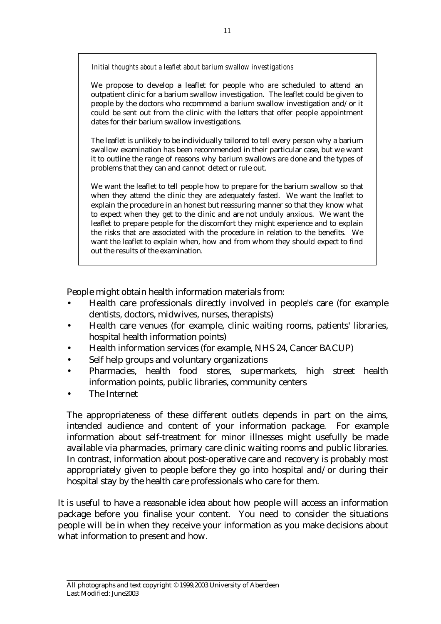*Initial thoughts about a leaflet about barium swallow investigations* 

We propose to develop a leaflet for people who are scheduled to attend an outpatient clinic for a barium swallow investigation. The leaflet could be given to people by the doctors who recommend a barium swallow investigation and/or it could be sent out from the clinic with the letters that offer people appointment dates for their barium swallow investigations.

The leaflet is unlikely to be individually tailored to tell every person why a barium swallow examination has been recommended in their particular case, but we want it to outline the range of reasons why barium swallows are done and the types of problems that they can and cannot detect or rule out.

We want the leaflet to tell people how to prepare for the barium swallow so that when they attend the clinic they are adequately fasted. We want the leaflet to explain the procedure in an honest but reassuring manner so that they know what to expect when they get to the clinic and are not unduly anxious. We want the leaflet to prepare people for the discomfort they might experience and to explain the risks that are associated with the procedure in relation to the benefits. We want the leaflet to explain when, how and from whom they should expect to find out the results of the examination.

People might obtain health information materials from:

- Health care professionals directly involved in people's care (for example dentists, doctors, midwives, nurses, therapists)
- Health care venues (for example, clinic waiting rooms, patients' libraries, hospital health information points)
- Health information services (for example, NHS 24, Cancer BACUP)
- Self help groups and voluntary organizations
- Pharmacies, health food stores, supermarkets, high street health information points, public libraries, community centers
- The Internet

The appropriateness of these different outlets depends in part on the aims, intended audience and content of your information package. For example information about self-treatment for minor illnesses might usefully be made available via pharmacies, primary care clinic waiting rooms and public libraries. In contrast, information about post-operative care and recovery is probably most appropriately given to people before they go into hospital and/or during their hospital stay by the health care professionals who care for them.

It is useful to have a reasonable idea about how people will access an information package before you finalise your content. You need to consider the situations people will be in when they receive your information as you make decisions about what information to present and how.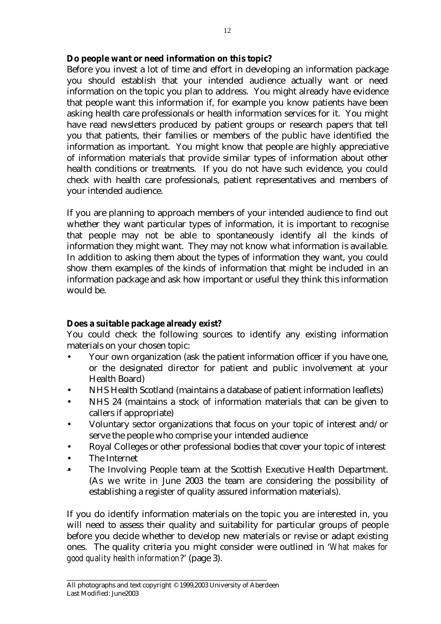## **Do people want or need information on this topic?**

Before you invest a lot of time and effort in developing an information package you should establish that your intended audience actually want or need information on the topic you plan to address. You might already have evidence that people want this information if, for example you know patients have been asking health care professionals or health information services for it. You might have read newsletters produced by patient groups or research papers that tell you that patients, their families or members of the public have identified the information as important. You might know that people are highly appreciative of information materials that provide similar types of information about other health conditions or treatments. If you do not have such evidence, you could check with health care professionals, patient representatives and members of your intended audience.

If you are planning to approach members of your intended audience to find out whether they want particular types of information, it is important to recognise that people may not be able to spontaneously identify all the kinds of information they might want. They may not know what information is available. In addition to asking them about the types of information they want, you could show them examples of the kinds of information that might be included in an information package and ask how important or useful they think this information would be.

## **Does a suitable package already exist?**

You could check the following sources to identify any existing information materials on your chosen topic:

- Your own organization (ask the patient information officer if you have one, or the designated director for patient and public involvement at your Health Board)
- NHS Health Scotland (maintains a database of patient information leaflets)
- NHS 24 (maintains a stock of information materials that can be given to callers if appropriate)
- Voluntary sector organizations that focus on your topic of interest and/or serve the people who comprise your intended audience
- Royal Colleges or other professional bodies that cover your topic of interest
- The Internet
- The Involving People team at the Scottish Executive Health Department. (As we write in June 2003 the team are considering the possibility of establishing a register of quality assured information materials).

If you do identify information materials on the topic you are interested in, you will need to assess their quality and suitability for particular groups of people before you decide whether to develop new materials or revise or adapt existing ones. The quality criteria you might consider were outlined in '*What makes for good quality health information*?' (page 3).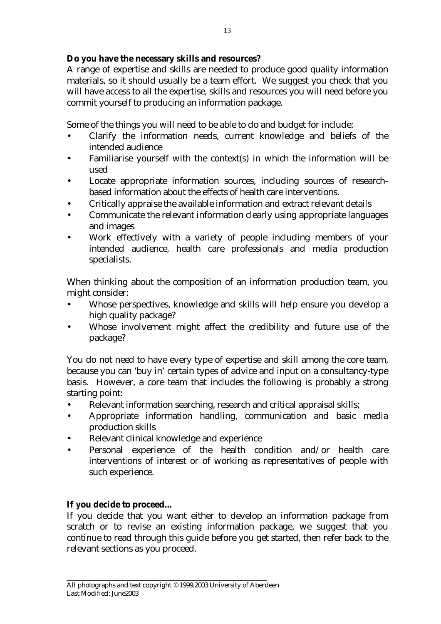## **Do you have the necessary skills and resources?**

A range of expertise and skills are needed to produce good quality information materials, so it should usually be a team effort. We suggest you check that you will have access to all the expertise, skills and resources you will need before you commit yourself to producing an information package.

Some of the things you will need to be able to do and budget for include:

- Clarify the information needs, current knowledge and beliefs of the intended audience
- Familiarise yourself with the context(s) in which the information will be used
- Locate appropriate information sources, including sources of researchbased information about the effects of health care interventions.
- Critically appraise the available information and extract relevant details
- Communicate the relevant information clearly using appropriate languages and images
- Work effectively with a variety of people including members of your intended audience, health care professionals and media production specialists.

When thinking about the composition of an information production team, you might consider:

- Whose perspectives, knowledge and skills will help ensure you develop a high quality package?
- Whose involvement might affect the credibility and future use of the package?

You do not need to have every type of expertise and skill among the core team, because you can 'buy in' certain types of advice and input on a consultancy-type basis. However, a core team that includes the following is probably a strong starting point:

- Relevant information searching, research and critical appraisal skills;
- Appropriate information handling, communication and basic media production skills
- Relevant clinical knowledge and experience
- Personal experience of the health condition and/or health care interventions of interest or of working as representatives of people with such experience.

## **If you decide to proceed…**

If you decide that you want either to develop an information package from scratch or to revise an existing information package, we suggest that you continue to read through this guide before you get started, then refer back to the relevant sections as you proceed.

\_\_\_\_\_\_\_\_\_\_\_\_\_\_\_\_\_\_\_\_\_\_\_\_\_\_\_\_\_\_\_\_\_\_\_\_\_\_\_\_\_\_\_\_\_\_\_\_\_\_\_\_\_\_\_\_\_\_\_\_ All photographs and text copyright © 1999,2003 University of Aberdeen Last Modified: June2003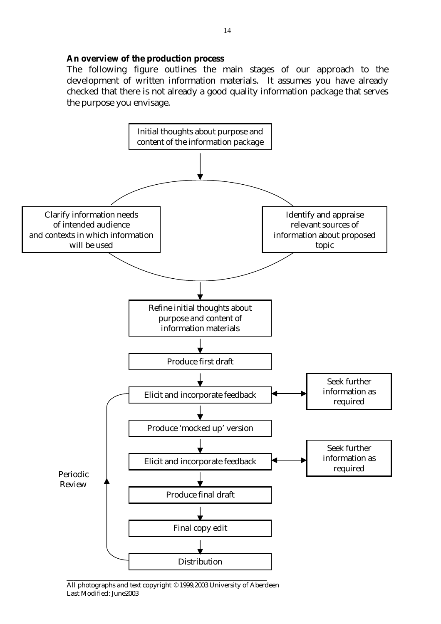#### **An overview of the production process**

The following figure outlines the main stages of our approach to the development of written information materials. It assumes you have already checked that there is not already a good quality information package that serves the purpose you envisage.



All photographs and text copyright © 1999,2003 University of Aberdeen Last Modified: June2003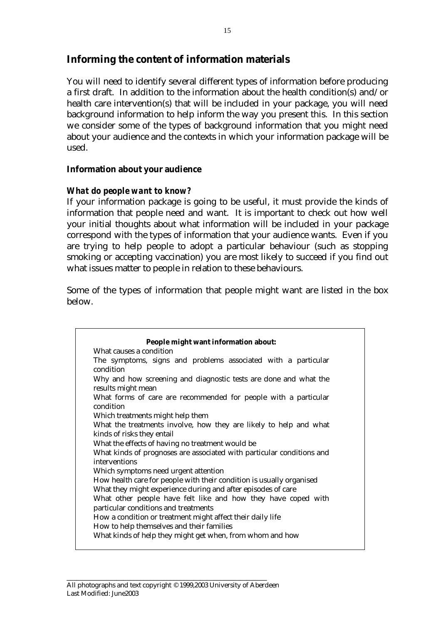## **Informing the content of information materials**

You will need to identify several different types of information before producing a first draft. In addition to the information about the health condition(s) and/or health care intervention(s) that will be included in your package, you will need background information to help inform the way you present this. In this section we consider some of the types of background information that you might need about your audience and the contexts in which your information package will be used.

## **Information about your audience**

## *What do people want to know?*

If your information package is going to be useful, it must provide the kinds of information that people need and want. It is important to check out how well your initial thoughts about what information will be included in your package correspond with the types of information that your audience wants. Even if you are trying to help people to adopt a particular behaviour (such as stopping smoking or accepting vaccination) you are most likely to succeed if you find out what issues matter to people in relation to these behaviours.

Some of the types of information that people might want are listed in the box below.

|                            | People might want information about:                                  |
|----------------------------|-----------------------------------------------------------------------|
| What causes a condition    |                                                                       |
| condition                  | The symptoms, signs and problems associated with a particular         |
| results might mean         | Why and how screening and diagnostic tests are done and what the      |
| condition                  | What forms of care are recommended for people with a particular       |
|                            | Which treatments might help them                                      |
|                            | What the treatments involve, how they are likely to help and what     |
| kinds of risks they entail |                                                                       |
|                            | What the effects of having no treatment would be                      |
| interventions              | What kinds of prognoses are associated with particular conditions and |
|                            | Which symptoms need urgent attention                                  |
|                            | How health care for people with their condition is usually organised  |
|                            | What they might experience during and after episodes of care          |
|                            | What other people have felt like and how they have coped with         |
|                            | particular conditions and treatments                                  |
|                            | How a condition or treatment might affect their daily life            |
|                            | How to help themselves and their families                             |
|                            | What kinds of help they might get when, from whom and how             |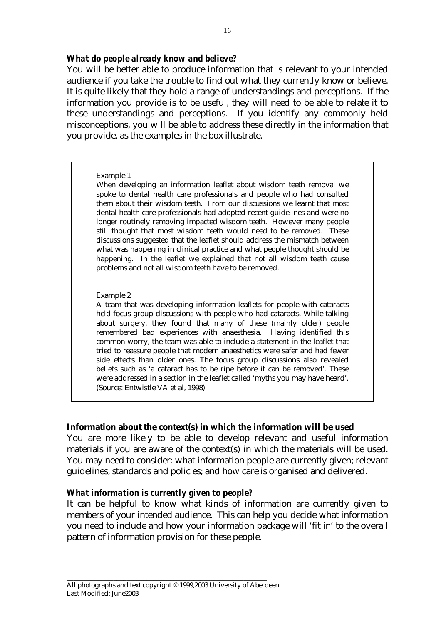### *What do people already know and believe?*

You will be better able to produce information that is relevant to your intended audience if you take the trouble to find out what they currently know or believe. It is quite likely that they hold a range of understandings and perceptions. If the information you provide is to be useful, they will need to be able to relate it to these understandings and perceptions. If you identify any commonly held misconceptions, you will be able to address these directly in the information that you provide, as the examples in the box illustrate.

#### Example 1

When developing an information leaflet about wisdom teeth removal we spoke to dental health care professionals and people who had consulted them about their wisdom teeth. From our discussions we learnt that most dental health care professionals had adopted recent guidelines and were no longer routinely removing impacted wisdom teeth. However many people still thought that most wisdom teeth would need to be removed. These discussions suggested that the leaflet should address the mismatch between what was happening in clinical practice and what people thought should be happening. In the leaflet we explained that not all wisdom teeth cause problems and not all wisdom teeth have to be removed.

#### Example 2

A team that was developing information leaflets for people with cataracts held focus group discussions with people who had cataracts. While talking about surgery, they found that many of these (mainly older) people remembered bad experiences with anaesthesia. Having identified this common worry, the team was able to include a statement in the leaflet that tried to reassure people that modern anaesthetics were safer and had fewer side effects than older ones. The focus group discussions also revealed beliefs such as 'a cataract has to be ripe before it can be removed'. These were addressed in a section in the leaflet called 'myths you may have heard'. (Source: Entwistle VA et al, 1998).

#### **Information about the context(s) in which the information will be used**

You are more likely to be able to develop relevant and useful information materials if you are aware of the context(s) in which the materials will be used. You may need to consider: what information people are currently given; relevant guidelines, standards and policies; and how care is organised and delivered.

## *What information is currently given to people?*

It can be helpful to know what kinds of information are currently given to members of your intended audience. This can help you decide what information you need to include and how your information package will 'fit in' to the overall pattern of information provision for these people.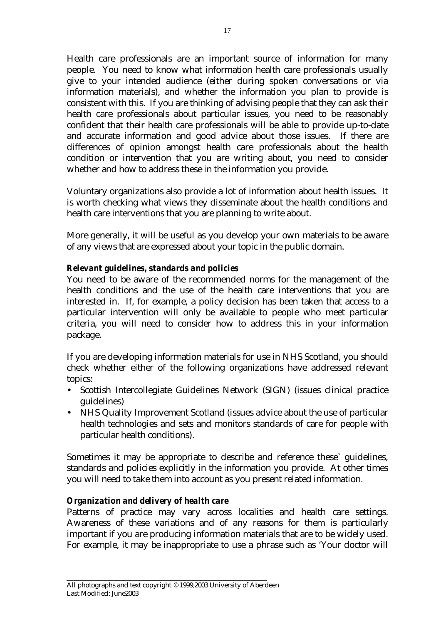Health care professionals are an important source of information for many people. You need to know what information health care professionals usually give to your intended audience (either during spoken conversations or via information materials), and whether the information you plan to provide is consistent with this. If you are thinking of advising people that they can ask their health care professionals about particular issues, you need to be reasonably confident that their health care professionals will be able to provide up-to-date and accurate information and good advice about those issues. If there are differences of opinion amongst health care professionals about the health condition or intervention that you are writing about, you need to consider whether and how to address these in the information you provide.

Voluntary organizations also provide a lot of information about health issues. It is worth checking what views they disseminate about the health conditions and health care interventions that you are planning to write about.

More generally, it will be useful as you develop your own materials to be aware of any views that are expressed about your topic in the public domain.

## *Relevant guidelines, standards and policies*

You need to be aware of the recommended norms for the management of the health conditions and the use of the health care interventions that you are interested in. If, for example, a policy decision has been taken that access to a particular intervention will only be available to people who meet particular criteria, you will need to consider how to address this in your information package.

If you are developing information materials for use in NHS Scotland, you should check whether either of the following organizations have addressed relevant topics:

- Scottish Intercollegiate Guidelines Network (SIGN) (issues clinical practice guidelines)
- NHS Quality Improvement Scotland (issues advice about the use of particular health technologies and sets and monitors standards of care for people with particular health conditions).

Sometimes it may be appropriate to describe and reference these` guidelines, standards and policies explicitly in the information you provide. At other times you will need to take them into account as you present related information.

## *Organization and delivery of health care*

Patterns of practice may vary across localities and health care settings. Awareness of these variations and of any reasons for them is particularly important if you are producing information materials that are to be widely used. For example, it may be inappropriate to use a phrase such as 'Your doctor will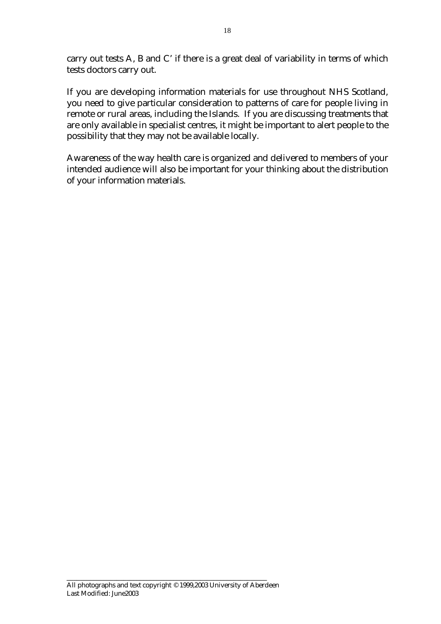carry out tests A, B and C' if there is a great deal of variability in terms of which tests doctors carry out.

If you are developing information materials for use throughout NHS Scotland, you need to give particular consideration to patterns of care for people living in remote or rural areas, including the Islands. If you are discussing treatments that are only available in specialist centres, it might be important to alert people to the possibility that they may not be available locally.

Awareness of the way health care is organized and delivered to members of your intended audience will also be important for your thinking about the distribution of your information materials.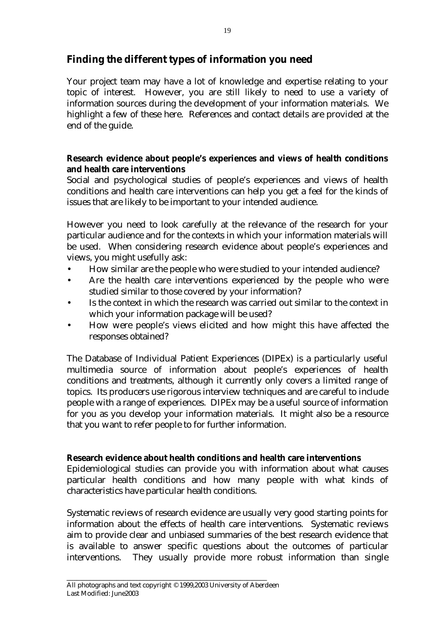## **Finding the different types of information you need**

Your project team may have a lot of knowledge and expertise relating to your topic of interest. However, you are still likely to need to use a variety of information sources during the development of your information materials. We highlight a few of these here. References and contact details are provided at the end of the guide.

## **Research evidence about people's experiences and views of health conditions and health care interventions**

Social and psychological studies of people's experiences and views of health conditions and health care interventions can help you get a feel for the kinds of issues that are likely to be important to your intended audience.

However you need to look carefully at the relevance of the research for your particular audience and for the contexts in which your information materials will be used. When considering research evidence about people's experiences and views, you might usefully ask:

- How similar are the people who were studied to your intended audience?
- Are the health care interventions experienced by the people who were studied similar to those covered by your information?
- Is the context in which the research was carried out similar to the context in which your information package will be used?
- How were people's views elicited and how might this have affected the responses obtained?

The Database of Individual Patient Experiences (DIPEx) is a particularly useful multimedia source of information about people's experiences of health conditions and treatments, although it currently only covers a limited range of topics. Its producers use rigorous interview techniques and are careful to include people with a range of experiences. DIPEx may be a useful source of information for you as you develop your information materials. It might also be a resource that you want to refer people to for further information.

## **Research evidence about health conditions and health care interventions**

Epidemiological studies can provide you with information about what causes particular health conditions and how many people with what kinds of characteristics have particular health conditions.

Systematic reviews of research evidence are usually very good starting points for information about the effects of health care interventions. Systematic reviews aim to provide clear and unbiased summaries of the best research evidence that is available to answer specific questions about the outcomes of particular interventions. They usually provide more robust information than single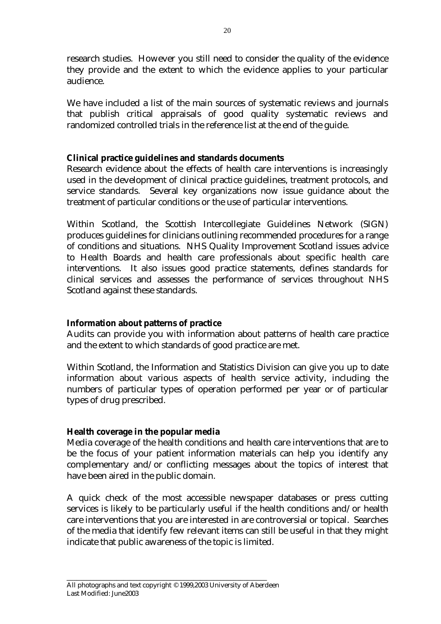research studies. However you still need to consider the quality of the evidence they provide and the extent to which the evidence applies to your particular audience.

We have included a list of the main sources of systematic reviews and journals that publish critical appraisals of good quality systematic reviews and randomized controlled trials in the reference list at the end of the guide.

## **Clinical practice guidelines and standards documents**

Research evidence about the effects of health care interventions is increasingly used in the development of clinical practice guidelines, treatment protocols, and service standards. Several key organizations now issue guidance about the treatment of particular conditions or the use of particular interventions.

Within Scotland, the Scottish Intercollegiate Guidelines Network (SIGN) produces guidelines for clinicians outlining recommended procedures for a range of conditions and situations. NHS Quality Improvement Scotland issues advice to Health Boards and health care professionals about specific health care interventions. It also issues good practice statements, defines standards for clinical services and assesses the performance of services throughout NHS Scotland against these standards.

#### **Information about patterns of practice**

Audits can provide you with information about patterns of health care practice and the extent to which standards of good practice are met.

Within Scotland, the Information and Statistics Division can give you up to date information about various aspects of health service activity, including the numbers of particular types of operation performed per year or of particular types of drug prescribed.

## **Health coverage in the popular media**

Media coverage of the health conditions and health care interventions that are to be the focus of your patient information materials can help you identify any complementary and/or conflicting messages about the topics of interest that have been aired in the public domain.

A quick check of the most accessible newspaper databases or press cutting services is likely to be particularly useful if the health conditions and/or health care interventions that you are interested in are controversial or topical. Searches of the media that identify few relevant items can still be useful in that they might indicate that public awareness of the topic is limited.

\_\_\_\_\_\_\_\_\_\_\_\_\_\_\_\_\_\_\_\_\_\_\_\_\_\_\_\_\_\_\_\_\_\_\_\_\_\_\_\_\_\_\_\_\_\_\_\_\_\_\_\_\_\_\_\_\_\_\_\_ All photographs and text copyright © 1999,2003 University of Aberdeen Last Modified: June2003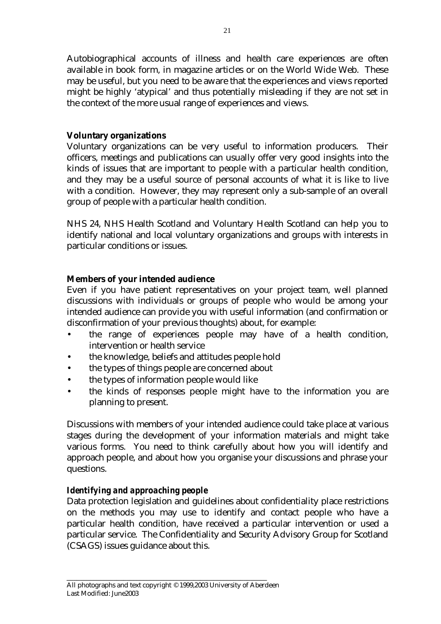Autobiographical accounts of illness and health care experiences are often available in book form, in magazine articles or on the World Wide Web. These may be useful, but you need to be aware that the experiences and views reported might be highly 'atypical' and thus potentially misleading if they are not set in the context of the more usual range of experiences and views.

## **Voluntary organizations**

Voluntary organizations can be very useful to information producers. Their officers, meetings and publications can usually offer very good insights into the kinds of issues that are important to people with a particular health condition, and they may be a useful source of personal accounts of what it is like to live with a condition. However, they may represent only a sub-sample of an overall group of people with a particular health condition.

NHS 24, NHS Health Scotland and Voluntary Health Scotland can help you to identify national and local voluntary organizations and groups with interests in particular conditions or issues.

## **Members of your intended audience**

Even if you have patient representatives on your project team, well planned discussions with individuals or groups of people who would be among your intended audience can provide you with useful information (and confirmation or disconfirmation of your previous thoughts) about, for example:

- the range of experiences people may have of a health condition, intervention or health service
- the knowledge, beliefs and attitudes people hold
- the types of things people are concerned about
- the types of information people would like
- the kinds of responses people might have to the information you are planning to present.

Discussions with members of your intended audience could take place at various stages during the development of your information materials and might take various forms. You need to think carefully about how you will identify and approach people, and about how you organise your discussions and phrase your questions.

## *Identifying and approaching people*

Data protection legislation and guidelines about confidentiality place restrictions on the methods you may use to identify and contact people who have a particular health condition, have received a particular intervention or used a particular service. The Confidentiality and Security Advisory Group for Scotland (CSAGS) issues guidance about this.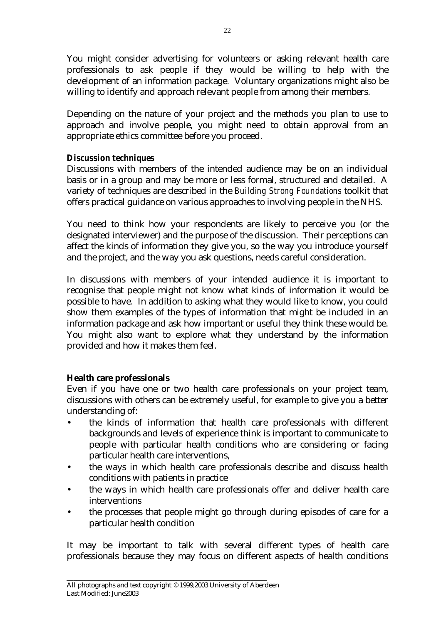You might consider advertising for volunteers or asking relevant health care professionals to ask people if they would be willing to help with the development of an information package. Voluntary organizations might also be willing to identify and approach relevant people from among their members.

Depending on the nature of your project and the methods you plan to use to approach and involve people, you might need to obtain approval from an appropriate ethics committee before you proceed.

## *Discussion techniques*

Discussions with members of the intended audience may be on an individual basis or in a group and may be more or less formal, structured and detailed. A variety of techniques are described in the *Building Strong Foundations* toolkit that offers practical guidance on various approaches to involving people in the NHS.

You need to think how your respondents are likely to perceive you (or the designated interviewer) and the purpose of the discussion. Their perceptions can affect the kinds of information they give you, so the way you introduce yourself and the project, and the way you ask questions, needs careful consideration.

In discussions with members of your intended audience it is important to recognise that people might not know what kinds of information it would be possible to have. In addition to asking what they would like to know, you could show them examples of the types of information that might be included in an information package and ask how important or useful they think these would be. You might also want to explore what they understand by the information provided and how it makes them feel.

## **Health care professionals**

Even if you have one or two health care professionals on your project team, discussions with others can be extremely useful, for example to give you a better understanding of:

- the kinds of information that health care professionals with different backgrounds and levels of experience think is important to communicate to people with particular health conditions who are considering or facing particular health care interventions,
- the ways in which health care professionals describe and discuss health conditions with patients in practice
- the ways in which health care professionals offer and deliver health care interventions
- the processes that people might go through during episodes of care for a particular health condition

It may be important to talk with several different types of health care professionals because they may focus on different aspects of health conditions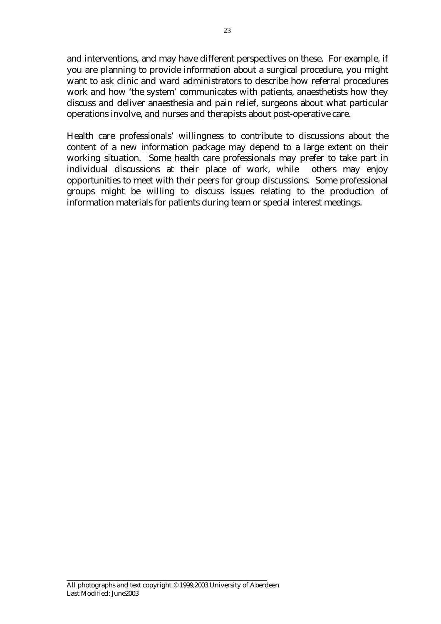and interventions, and may have different perspectives on these. For example, if you are planning to provide information about a surgical procedure, you might want to ask clinic and ward administrators to describe how referral procedures work and how 'the system' communicates with patients, anaesthetists how they discuss and deliver anaesthesia and pain relief, surgeons about what particular operations involve, and nurses and therapists about post-operative care.

Health care professionals' willingness to contribute to discussions about the content of a new information package may depend to a large extent on their working situation. Some health care professionals may prefer to take part in individual discussions at their place of work, while others may enjoy opportunities to meet with their peers for group discussions. Some professional groups might be willing to discuss issues relating to the production of information materials for patients during team or special interest meetings.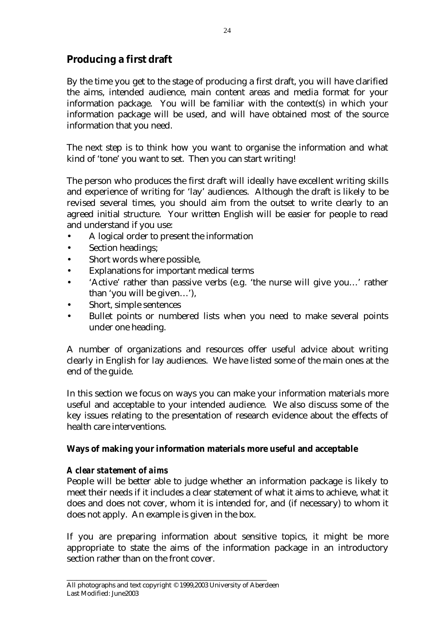## **Producing a first draft**

By the time you get to the stage of producing a first draft, you will have clarified the aims, intended audience, main content areas and media format for your information package. You will be familiar with the context(s) in which your information package will be used, and will have obtained most of the source information that you need.

The next step is to think how you want to organise the information and what kind of 'tone' you want to set. Then you can start writing!

The person who produces the first draft will ideally have excellent writing skills and experience of writing for 'lay' audiences. Although the draft is likely to be revised several times, you should aim from the outset to write clearly to an agreed initial structure. Your written English will be easier for people to read and understand if you use:

- A logical order to present the information
- Section headings;
- Short words where possible,
- Explanations for important medical terms
- 'Active' rather than passive verbs (e.g. 'the nurse will give you…' rather than 'you will be given…'),
- Short, simple sentences
- Bullet points or numbered lists when you need to make several points under one heading.

A number of organizations and resources offer useful advice about writing clearly in English for lay audiences. We have listed some of the main ones at the end of the guide.

In this section we focus on ways you can make your information materials more useful and acceptable to your intended audience. We also discuss some of the key issues relating to the presentation of research evidence about the effects of health care interventions.

## **Ways of making your information materials more useful and acceptable**

## *A clear statement of aims*

People will be better able to judge whether an information package is likely to meet their needs if it includes a clear statement of what it aims to achieve, what it does and does not cover, whom it is intended for, and (if necessary) to whom it does not apply. An example is given in the box.

If you are preparing information about sensitive topics, it might be more appropriate to state the aims of the information package in an introductory section rather than on the front cover.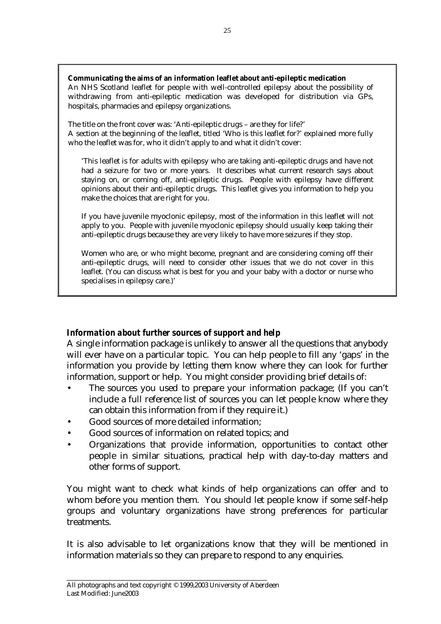**Communicating the aims of an information leaflet about anti-epileptic medication** 

An NHS Scotland leaflet for people with well-controlled epilepsy about the possibility of withdrawing from anti-epileptic medication was developed for distribution via GPs, hospitals, pharmacies and epilepsy organizations.

The title on the front cover was: 'Anti-epileptic drugs – are they for life?' A section at the beginning of the leaflet, titled 'Who is this leaflet for?' explained more fully who the leaflet was for, who it didn't apply to and what it didn't cover:

'This leaflet is for adults with epilepsy who are taking anti-epileptic drugs and have not had a seizure for two or more years. It describes what current research says about staying on, or coming off, anti-epileptic drugs. People with epilepsy have different opinions about their anti-epileptic drugs. This leaflet gives you information to help you make the choices that are right for you.

If you have juvenile myoclonic epilepsy, most of the information in this leaflet will not apply to you. People with juvenile myoclonic epilepsy should usually keep taking their anti-epileptic drugs because they are very likely to have more seizures if they stop.

Women who are, or who might become, pregnant and are considering coming off their anti-epileptic drugs, will need to consider other issues that we do not cover in this leaflet. (You can discuss what is best for you and your baby with a doctor or nurse who specialises in epilepsy care.)'

## *Information about further sources of support and help*

A single information package is unlikely to answer all the questions that anybody will ever have on a particular topic. You can help people to fill any 'gaps' in the information you provide by letting them know where they can look for further information, support or help. You might consider providing brief details of:

- The sources you used to prepare your information package; (If you can't include a full reference list of sources you can let people know where they can obtain this information from if they require it.)
- Good sources of more detailed information;
- Good sources of information on related topics; and
- Organizations that provide information, opportunities to contact other people in similar situations, practical help with day-to-day matters and other forms of support.

You might want to check what kinds of help organizations can offer and to whom before you mention them. You should let people know if some self-help groups and voluntary organizations have strong preferences for particular treatments.

It is also advisable to let organizations know that they will be mentioned in information materials so they can prepare to respond to any enquiries.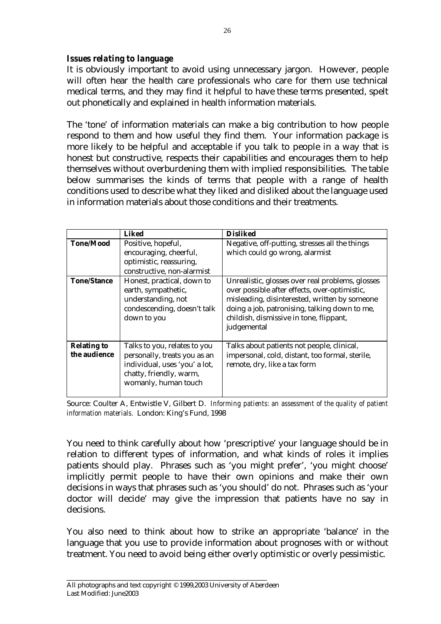## *Issues relating to language*

It is obviously important to avoid using unnecessary jargon. However, people will often hear the health care professionals who care for them use technical medical terms, and they may find it helpful to have these terms presented, spelt out phonetically and explained in health information materials.

The 'tone' of information materials can make a big contribution to how people respond to them and how useful they find them. Your information package is more likely to be helpful and acceptable if you talk to people in a way that is honest but constructive, respects their capabilities and encourages them to help themselves without overburdening them with implied responsibilities. The table below summarises the kinds of terms that people with a range of health conditions used to describe what they liked and disliked about the language used in information materials about those conditions and their treatments.

|                                    | <b>Liked</b>                                                                                                                                     | <b>Disliked</b>                                                                                                                                                                                                                                               |
|------------------------------------|--------------------------------------------------------------------------------------------------------------------------------------------------|---------------------------------------------------------------------------------------------------------------------------------------------------------------------------------------------------------------------------------------------------------------|
| <b>Tone/Mood</b>                   | Positive, hopeful,<br>encouraging, cheerful,<br>optimistic, reassuring,<br>constructive, non-alarmist                                            | Negative, off-putting, stresses all the things<br>which could go wrong, alarmist                                                                                                                                                                              |
| <b>Tone/Stance</b>                 | Honest, practical, down to<br>earth, sympathetic,<br>understanding, not<br>condescending, doesn't talk<br>down to you                            | Unrealistic, glosses over real problems, glosses<br>over possible after effects, over-optimistic,<br>misleading, disinterested, written by someone<br>doing a job, patronising, talking down to me,<br>childish, dismissive in tone, flippant,<br>judgemental |
| <b>Relating to</b><br>the audience | Talks to you, relates to you<br>personally, treats you as an<br>individual, uses 'you' a lot,<br>chatty, friendly, warm,<br>womanly, human touch | Talks about patients not people, clinical,<br>impersonal, cold, distant, too formal, sterile,<br>remote, dry, like a tax form                                                                                                                                 |

Source: Coulter A, Entwistle V, Gilbert D. *Informing patients: an assessment of the quality of patient information materials.* London: King's Fund, 1998

You need to think carefully about how 'prescriptive' your language should be in relation to different types of information, and what kinds of roles it implies patients should play. Phrases such as 'you might prefer', 'you might choose' implicitly permit people to have their own opinions and make their own decisions in ways that phrases such as 'you should' do not. Phrases such as 'your doctor will decide' may give the impression that patients have no say in decisions.

You also need to think about how to strike an appropriate 'balance' in the language that you use to provide information about prognoses with or without treatment. You need to avoid being either overly optimistic or overly pessimistic.

 $26$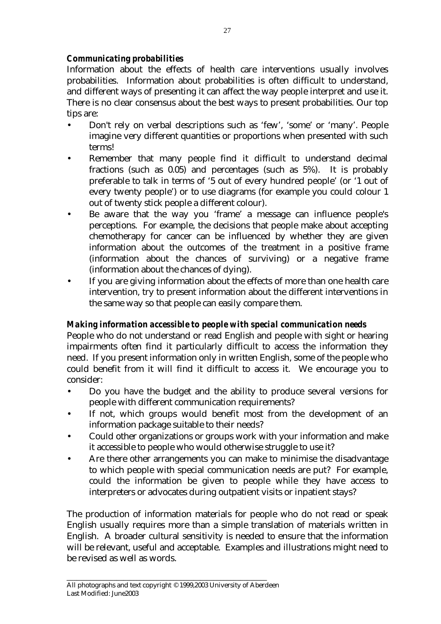## *Communicating probabilities*

Information about the effects of health care interventions usually involves probabilities. Information about probabilities is often difficult to understand, and different ways of presenting it can affect the way people interpret and use it. There is no clear consensus about the best ways to present probabilities. Our top tips are:

- Don't rely on verbal descriptions such as 'few', 'some' or 'many'. People imagine very different quantities or proportions when presented with such terms!
- Remember that many people find it difficult to understand decimal fractions (such as 0.05) and percentages (such as 5%). It is probably preferable to talk in terms of '5 out of every hundred people' (or '1 out of every twenty people') or to use diagrams (for example you could colour 1 out of twenty stick people a different colour).
- Be aware that the way you 'frame' a message can influence people's perceptions. For example, the decisions that people make about accepting chemotherapy for cancer can be influenced by whether they are given information about the outcomes of the treatment in a positive frame (information about the chances of surviving) or a negative frame (information about the chances of dying).
- If you are giving information about the effects of more than one health care intervention, try to present information about the different interventions in the same way so that people can easily compare them.

## *Making information accessible to people with special communication needs*

People who do not understand or read English and people with sight or hearing impairments often find it particularly difficult to access the information they need. If you present information only in written English, some of the people who could benefit from it will find it difficult to access it. We encourage you to consider:

- Do you have the budget and the ability to produce several versions for people with different communication requirements?
- If not, which groups would benefit most from the development of an information package suitable to their needs?
- Could other organizations or groups work with your information and make it accessible to people who would otherwise struggle to use it?
- Are there other arrangements you can make to minimise the disadvantage to which people with special communication needs are put? For example, could the information be given to people while they have access to interpreters or advocates during outpatient visits or inpatient stays?

The production of information materials for people who do not read or speak English usually requires more than a simple translation of materials written in English. A broader cultural sensitivity is needed to ensure that the information will be relevant, useful and acceptable. Examples and illustrations might need to be revised as well as words.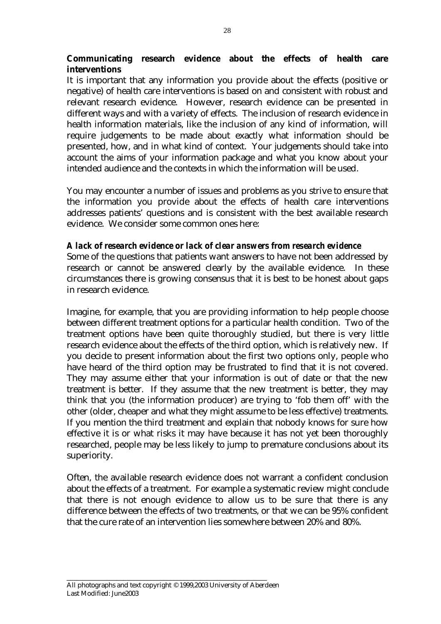## **Communicating research evidence about the effects of health care interventions**

It is important that any information you provide about the effects (positive or negative) of health care interventions is based on and consistent with robust and relevant research evidence. However, research evidence can be presented in different ways and with a variety of effects. The inclusion of research evidence in health information materials, like the inclusion of any kind of information, will require judgements to be made about exactly what information should be presented, how, and in what kind of context. Your judgements should take into account the aims of your information package and what you know about your intended audience and the contexts in which the information will be used.

You may encounter a number of issues and problems as you strive to ensure that the information you provide about the effects of health care interventions addresses patients' questions and is consistent with the best available research evidence. We consider some common ones here:

## *A lack of research evidence or lack of clear answers from research evidence*

Some of the questions that patients want answers to have not been addressed by research or cannot be answered clearly by the available evidence. In these circumstances there is growing consensus that it is best to be honest about gaps in research evidence.

Imagine, for example, that you are providing information to help people choose between different treatment options for a particular health condition. Two of the treatment options have been quite thoroughly studied, but there is very little research evidence about the effects of the third option, which is relatively new. If you decide to present information about the first two options only, people who have heard of the third option may be frustrated to find that it is not covered. They may assume either that your information is out of date or that the new treatment is better. If they assume that the new treatment is better, they may think that you (the information producer) are trying to 'fob them off' with the other (older, cheaper and what they might assume to be less effective) treatments. If you mention the third treatment and explain that nobody knows for sure how effective it is or what risks it may have because it has not yet been thoroughly researched, people may be less likely to jump to premature conclusions about its superiority.

Often, the available research evidence does not warrant a confident conclusion about the effects of a treatment. For example a systematic review might conclude that there is not enough evidence to allow us to be sure that there is any difference between the effects of two treatments, or that we can be 95% confident that the cure rate of an intervention lies somewhere between 20% and 80%.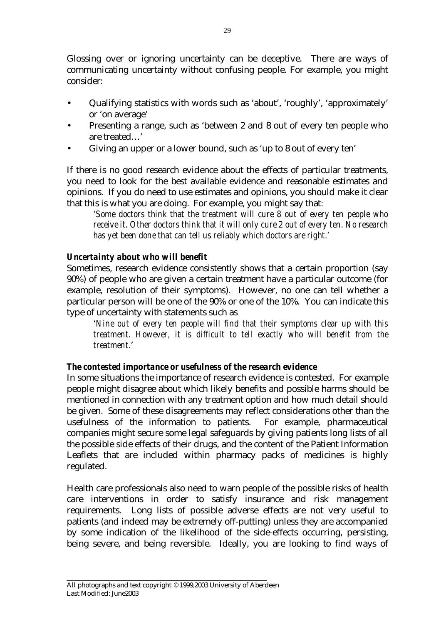Glossing over or ignoring uncertainty can be deceptive. There are ways of communicating uncertainty without confusing people. For example, you might consider:

- Qualifying statistics with words such as 'about', 'roughly', 'approximately' or 'on average'
- Presenting a range, such as 'between 2 and 8 out of every ten people who are treated…'
- Giving an upper or a lower bound, such as 'up to 8 out of every ten'

If there is no good research evidence about the effects of particular treatments, you need to look for the best available evidence and reasonable estimates and opinions. If you do need to use estimates and opinions, you should make it clear that this is what you are doing. For example, you might say that:

*'Some doctors think that the treatment will cure 8 out of every ten people who receive it. Other doctors think that it will only cure 2 out of every ten. No research has yet been done that can tell us reliably which doctors are right.'* 

## *Uncertainty about who will benefit*

Sometimes, research evidence consistently shows that a certain proportion (say 90%) of people who are given a certain treatment have a particular outcome (for example, resolution of their symptoms). However, no one can tell whether a particular person will be one of the 90% or one of the 10%. You can indicate this type of uncertainty with statements such as

'*Nine out of every ten people will find that their symptoms clear up with this treatment. However, it is difficult to tell exactly who will benefit from the treatment*.'

## *The contested importance or usefulness of the research evidence*

In some situations the importance of research evidence is contested. For example people might disagree about which likely benefits and possible harms should be mentioned in connection with any treatment option and how much detail should be given. Some of these disagreements may reflect considerations other than the usefulness of the information to patients. For example, pharmaceutical companies might secure some legal safeguards by giving patients long lists of all the possible side effects of their drugs, and the content of the Patient Information Leaflets that are included within pharmacy packs of medicines is highly regulated.

Health care professionals also need to warn people of the possible risks of health care interventions in order to satisfy insurance and risk management requirements. Long lists of possible adverse effects are not very useful to patients (and indeed may be extremely off-putting) unless they are accompanied by some indication of the likelihood of the side-effects occurring, persisting, being severe, and being reversible. Ideally, you are looking to find ways of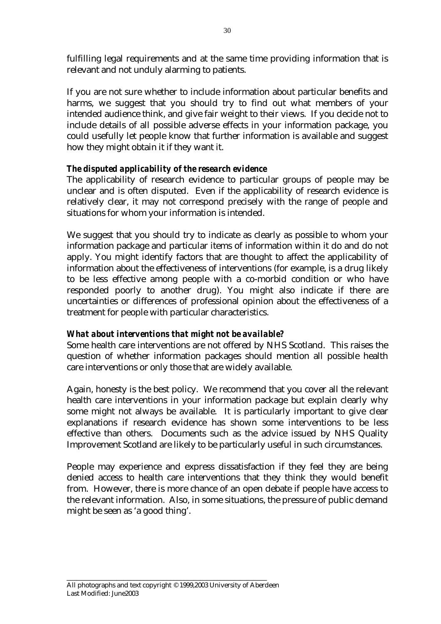fulfilling legal requirements and at the same time providing information that is relevant and not unduly alarming to patients.

If you are not sure whether to include information about particular benefits and harms, we suggest that you should try to find out what members of your intended audience think, and give fair weight to their views. If you decide not to include details of all possible adverse effects in your information package, you could usefully let people know that further information is available and suggest how they might obtain it if they want it.

## *The disputed applicability of the research evidence*

The applicability of research evidence to particular groups of people may be unclear and is often disputed. Even if the applicability of research evidence is relatively clear, it may not correspond precisely with the range of people and situations for whom your information is intended.

We suggest that you should try to indicate as clearly as possible to whom your information package and particular items of information within it do and do not apply. You might identify factors that are thought to affect the applicability of information about the effectiveness of interventions (for example, is a drug likely to be less effective among people with a co-morbid condition or who have responded poorly to another drug). You might also indicate if there are uncertainties or differences of professional opinion about the effectiveness of a treatment for people with particular characteristics.

## *What about interventions that might not be available?*

Some health care interventions are not offered by NHS Scotland. This raises the question of whether information packages should mention all possible health care interventions or only those that are widely available.

Again, honesty is the best policy. We recommend that you cover all the relevant health care interventions in your information package but explain clearly why some might not always be available. It is particularly important to give clear explanations if research evidence has shown some interventions to be less effective than others. Documents such as the advice issued by NHS Quality Improvement Scotland are likely to be particularly useful in such circumstances.

People may experience and express dissatisfaction if they feel they are being denied access to health care interventions that they think they would benefit from. However, there is more chance of an open debate if people have access to the relevant information. Also, in some situations, the pressure of public demand might be seen as 'a good thing'.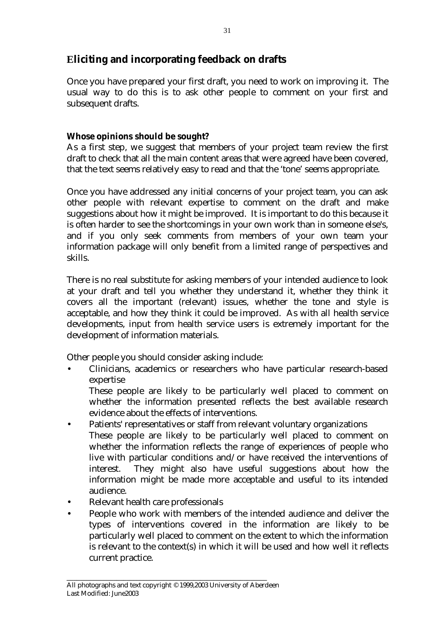## **Eliciting and incorporating feedback on drafts**

Once you have prepared your first draft, you need to work on improving it. The usual way to do this is to ask other people to comment on your first and subsequent drafts.

## **Whose opinions should be sought?**

As a first step, we suggest that members of your project team review the first draft to check that all the main content areas that were agreed have been covered, that the text seems relatively easy to read and that the 'tone' seems appropriate.

Once you have addressed any initial concerns of your project team, you can ask other people with relevant expertise to comment on the draft and make suggestions about how it might be improved. It is important to do this because it is often harder to see the shortcomings in your own work than in someone else's, and if you only seek comments from members of your own team your information package will only benefit from a limited range of perspectives and skills.

There is no real substitute for asking members of your intended audience to look at your draft and tell you whether they understand it, whether they think it covers all the important (relevant) issues, whether the tone and style is acceptable, and how they think it could be improved. As with all health service developments, input from health service users is extremely important for the development of information materials.

Other people you should consider asking include:

• Clinicians, academics or researchers who have particular research-based expertise

 These people are likely to be particularly well placed to comment on whether the information presented reflects the best available research evidence about the effects of interventions.

- Patients' representatives or staff from relevant voluntary organizations These people are likely to be particularly well placed to comment on whether the information reflects the range of experiences of people who live with particular conditions and/or have received the interventions of interest. They might also have useful suggestions about how the information might be made more acceptable and useful to its intended audience.
- Relevant health care professionals
- People who work with members of the intended audience and deliver the types of interventions covered in the information are likely to be particularly well placed to comment on the extent to which the information is relevant to the context(s) in which it will be used and how well it reflects current practice.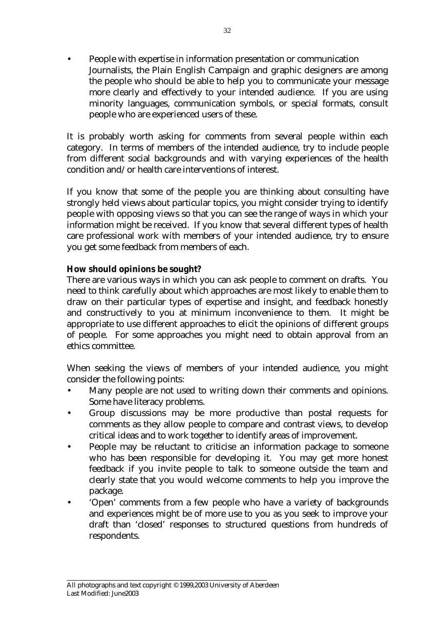• People with expertise in information presentation or communication Journalists, the Plain English Campaign and graphic designers are among the people who should be able to help you to communicate your message more clearly and effectively to your intended audience. If you are using minority languages, communication symbols, or special formats, consult people who are experienced users of these.

It is probably worth asking for comments from several people within each category. In terms of members of the intended audience, try to include people from different social backgrounds and with varying experiences of the health condition and/or health care interventions of interest.

If you know that some of the people you are thinking about consulting have strongly held views about particular topics, you might consider trying to identify people with opposing views so that you can see the range of ways in which your information might be received. If you know that several different types of health care professional work with members of your intended audience, try to ensure you get some feedback from members of each.

## **How should opinions be sought?**

There are various ways in which you can ask people to comment on drafts. You need to think carefully about which approaches are most likely to enable them to draw on their particular types of expertise and insight, and feedback honestly and constructively to you at minimum inconvenience to them. It might be appropriate to use different approaches to elicit the opinions of different groups of people. For some approaches you might need to obtain approval from an ethics committee.

When seeking the views of members of your intended audience, you might consider the following points:

- Many people are not used to writing down their comments and opinions. Some have literacy problems.
- Group discussions may be more productive than postal requests for comments as they allow people to compare and contrast views, to develop critical ideas and to work together to identify areas of improvement.
- People may be reluctant to criticise an information package to someone who has been responsible for developing it. You may get more honest feedback if you invite people to talk to someone outside the team and clearly state that you would welcome comments to help you improve the package.
- 'Open' comments from a few people who have a variety of backgrounds and experiences might be of more use to you as you seek to improve your draft than 'closed' responses to structured questions from hundreds of respondents.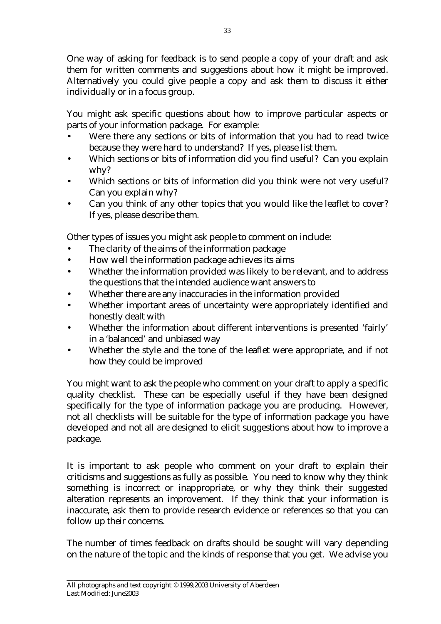One way of asking for feedback is to send people a copy of your draft and ask them for written comments and suggestions about how it might be improved. Alternatively you could give people a copy and ask them to discuss it either individually or in a focus group.

You might ask specific questions about how to improve particular aspects or parts of your information package. For example:

- Were there any sections or bits of information that you had to read twice because they were hard to understand? If yes, please list them.
- Which sections or bits of information did you find useful? Can you explain why?
- Which sections or bits of information did you think were not very useful? Can you explain why?
- Can you think of any other topics that you would like the leaflet to cover? If yes, please describe them.

Other types of issues you might ask people to comment on include:

- The clarity of the aims of the information package
- How well the information package achieves its aims
- Whether the information provided was likely to be relevant, and to address the questions that the intended audience want answers to
- Whether there are any inaccuracies in the information provided
- Whether important areas of uncertainty were appropriately identified and honestly dealt with
- Whether the information about different interventions is presented 'fairly' in a 'balanced' and unbiased way
- Whether the style and the tone of the leaflet were appropriate, and if not how they could be improved

You might want to ask the people who comment on your draft to apply a specific quality checklist. These can be especially useful if they have been designed specifically for the type of information package you are producing. However, not all checklists will be suitable for the type of information package you have developed and not all are designed to elicit suggestions about how to improve a package.

It is important to ask people who comment on your draft to explain their criticisms and suggestions as fully as possible. You need to know why they think something is incorrect or inappropriate, or why they think their suggested alteration represents an improvement. If they think that your information is inaccurate, ask them to provide research evidence or references so that you can follow up their concerns.

The number of times feedback on drafts should be sought will vary depending on the nature of the topic and the kinds of response that you get. We advise you

33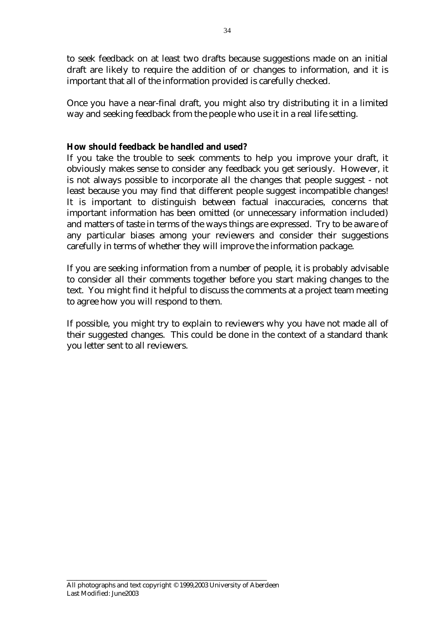to seek feedback on at least two drafts because suggestions made on an initial draft are likely to require the addition of or changes to information, and it is important that all of the information provided is carefully checked.

Once you have a near-final draft, you might also try distributing it in a limited way and seeking feedback from the people who use it in a real life setting.

## **How should feedback be handled and used?**

If you take the trouble to seek comments to help you improve your draft, it obviously makes sense to consider any feedback you get seriously. However, it is not always possible to incorporate all the changes that people suggest - not least because you may find that different people suggest incompatible changes! It is important to distinguish between factual inaccuracies, concerns that important information has been omitted (or unnecessary information included) and matters of taste in terms of the ways things are expressed. Try to be aware of any particular biases among your reviewers and consider their suggestions carefully in terms of whether they will improve the information package.

If you are seeking information from a number of people, it is probably advisable to consider all their comments together before you start making changes to the text. You might find it helpful to discuss the comments at a project team meeting to agree how you will respond to them.

If possible, you might try to explain to reviewers why you have not made all of their suggested changes. This could be done in the context of a standard thank you letter sent to all reviewers.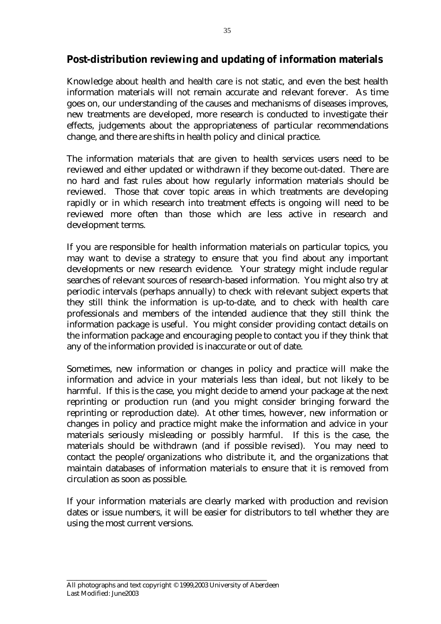## **Post-distribution reviewing and updating of information materials**

Knowledge about health and health care is not static, and even the best health information materials will not remain accurate and relevant forever. As time goes on, our understanding of the causes and mechanisms of diseases improves, new treatments are developed, more research is conducted to investigate their effects, judgements about the appropriateness of particular recommendations change, and there are shifts in health policy and clinical practice.

The information materials that are given to health services users need to be reviewed and either updated or withdrawn if they become out-dated. There are no hard and fast rules about how regularly information materials should be reviewed. Those that cover topic areas in which treatments are developing rapidly or in which research into treatment effects is ongoing will need to be reviewed more often than those which are less active in research and development terms.

If you are responsible for health information materials on particular topics, you may want to devise a strategy to ensure that you find about any important developments or new research evidence. Your strategy might include regular searches of relevant sources of research-based information. You might also try at periodic intervals (perhaps annually) to check with relevant subject experts that they still think the information is up-to-date, and to check with health care professionals and members of the intended audience that they still think the information package is useful. You might consider providing contact details on the information package and encouraging people to contact you if they think that any of the information provided is inaccurate or out of date.

Sometimes, new information or changes in policy and practice will make the information and advice in your materials less than ideal, but not likely to be harmful. If this is the case, you might decide to amend your package at the next reprinting or production run (and you might consider bringing forward the reprinting or reproduction date). At other times, however, new information or changes in policy and practice might make the information and advice in your materials seriously misleading or possibly harmful. If this is the case, the materials should be withdrawn (and if possible revised). You may need to contact the people/organizations who distribute it, and the organizations that maintain databases of information materials to ensure that it is removed from circulation as soon as possible.

If your information materials are clearly marked with production and revision dates or issue numbers, it will be easier for distributors to tell whether they are using the most current versions.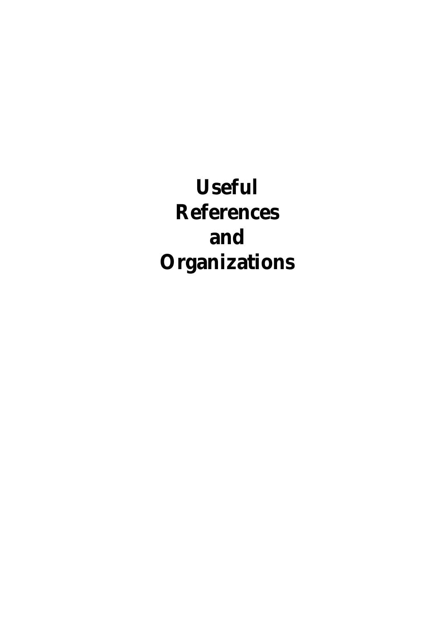**Useful References and Organizations**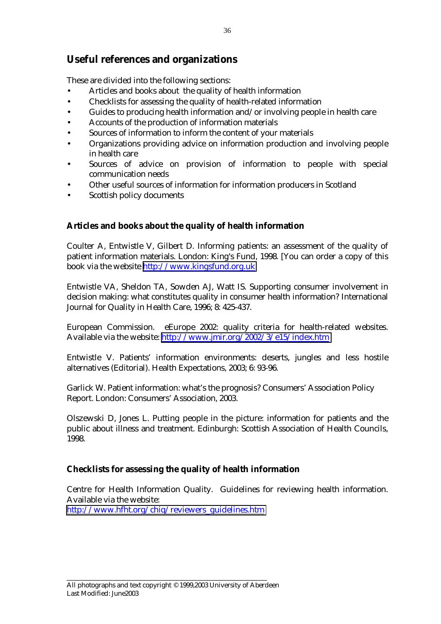## **Useful references and organizations**

These are divided into the following sections:

- Articles and books about the quality of health information
- Checklists for assessing the quality of health-related information
- Guides to producing health information and/or involving people in health care
- Accounts of the production of information materials
- Sources of information to inform the content of your materials
- Organizations providing advice on information production and involving people in health care
- Sources of advice on provision of information to people with special communication needs
- Other useful sources of information for information producers in Scotland
- Scottish policy documents

## **Articles and books about the quality of health information**

Coulter A, Entwistle V, Gilbert D. Informing patients: an assessment of the quality of patient information materials. London: King's Fund, 1998. [You can order a copy of this book via the website [http://www.kingsfund.org.uk](http://www.kingsfund.org.uk/)

Entwistle VA, Sheldon TA, Sowden AJ, Watt IS. Supporting consumer involvement in decision making: what constitutes quality in consumer health information? International Journal for Quality in Health Care, 1996; 8: 425-437.

European Commission. eEurope 2002: quality criteria for health-related websites. Available via the website: <http://www.jmir.org/2002/3/e15/index.htm>

Entwistle V. Patients' information environments: deserts, jungles and less hostile alternatives (Editorial). Health Expectations, 2003; 6: 93-96.

Garlick W. Patient information: what's the prognosis? Consumers' Association Policy Report. London: Consumers' Association, 2003.

Olszewski D, Jones L. Putting people in the picture: information for patients and the public about illness and treatment. Edinburgh: Scottish Association of Health Councils, 1998.

#### **Checklists for assessing the quality of health information**

Centre for Health Information Quality. Guidelines for reviewing health information. Available via the website: [http://www.hfht.org/chiq/reviewers\\_guidelines.htm](http://www.hfht.org/chiq/reviewers_guidelines.htm)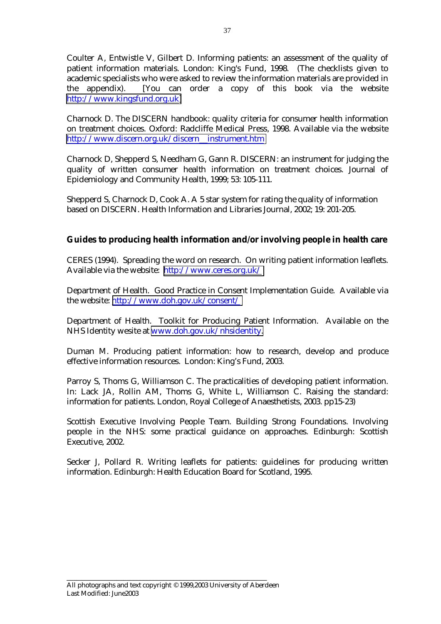Coulter A, Entwistle V, Gilbert D. Informing patients: an assessment of the quality of patient information materials. London: King's Fund, 1998. (The checklists given to academic specialists who were asked to review the information materials are provided in the appendix). [You can order a copy of this book via the website [http://www.kingsfund.org.uk\]](http://www.kingsfund.org.uk/)

Charnock D. The DISCERN handbook: quality criteria for consumer health information on treatment choices. Oxford: Radcliffe Medical Press, 1998. Available via the website [http://www.discern.org.uk/discern\\_\\_instrument.htm](http://www.discern.org.uk/discern__instrument.htm)

Charnock D, Shepperd S, Needham G, Gann R. DISCERN: an instrument for judging the quality of written consumer health information on treatment choices. Journal of Epidemiology and Community Health, 1999; 53: 105-111.

Shepperd S, Charnock D, Cook A. A 5 star system for rating the quality of information based on DISCERN. Health Information and Libraries Journal, 2002; 19: 201-205.

## **Guides to producing health information and/or involving people in health care**

CERES (1994). Spreading the word on research. On writing patient information leaflets. Available via the website: <http://www.ceres.org.uk/>

Department of Health. Good Practice in Consent Implementation Guide. Available via the website: <http://www.doh.gov.uk/consent/>

Department of Health. Toolkit for Producing Patient Information. Available on the NHS Identity wesite at [www.doh.gov.uk/nhsidentity.](http://www.doh.gov.uk/nhsidentity) 

Duman M. Producing patient information: how to research, develop and produce effective information resources. London: King's Fund, 2003.

Parroy S, Thoms G, Williamson C. The practicalities of developing patient information. In: Lack JA, Rollin AM, Thoms G, White L, Williamson C. Raising the standard: information for patients. London, Royal College of Anaesthetists, 2003. pp15-23)

Scottish Executive Involving People Team. Building Strong Foundations. Involving people in the NHS: some practical guidance on approaches. Edinburgh: Scottish Executive, 2002.

Secker J, Pollard R. Writing leaflets for patients: guidelines for producing written information. Edinburgh: Health Education Board for Scotland, 1995.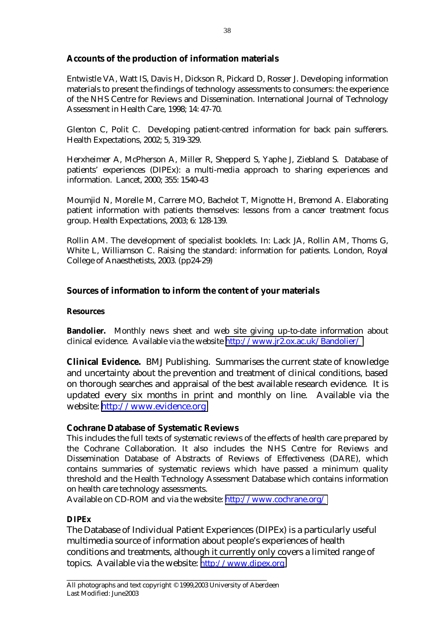## **Accounts of the production of information materials**

Entwistle VA, Watt IS, Davis H, Dickson R, Pickard D, Rosser J. Developing information materials to present the findings of technology assessments to consumers: the experience of the NHS Centre for Reviews and Dissemination. International Journal of Technology Assessment in Health Care, 1998; 14: 47-70.

Glenton C, Polit C. Developing patient-centred information for back pain sufferers. Health Expectations, 2002; 5, 319-329.

Herxheimer A, McPherson A, Miller R, Shepperd S, Yaphe J, Ziebland S. Database of patients' experiences (DIPEx): a multi-media approach to sharing experiences and information. Lancet, 2000; 355: 1540-43

Moumjid N, Morelle M, Carrere MO, Bachelot T, Mignotte H, Bremond A. Elaborating patient information with patients themselves: lessons from a cancer treatment focus group. Health Expectations, 2003; 6: 128-139.

Rollin AM. The development of specialist booklets. In: Lack JA, Rollin AM, Thoms G, White L, Williamson C. Raising the standard: information for patients. London, Royal College of Anaesthetists, 2003. (pp24-29)

#### **Sources of information to inform the content of your materials**

#### **Resources**

**Bandolier.** Monthly news sheet and web site giving up-to-date information about clinical evidence. Available via the website <http://www.jr2.ox.ac.uk/Bandolier/>

**Clinical Evidence.** BMJ Publishing. Summarises the current state of knowledge and uncertainty about the prevention and treatment of clinical conditions, based on thorough searches and appraisal of the best available research evidence. It is updated every six months in print and monthly on line. Available via the website: [http://www.evidence.org](http://www.evidence.org/)

#### **Cochrane Database of Systematic Reviews**

This includes the full texts of systematic reviews of the effects of health care prepared by the Cochrane Collaboration. It also includes the NHS Centre for Reviews and Dissemination Database of Abstracts of Reviews of Effectiveness (DARE), which contains summaries of systematic reviews which have passed a minimum quality threshold and the Health Technology Assessment Database which contains information on health care technology assessments.

Available on CD-ROM and via the website: <http://www.cochrane.org/>

#### **DIPEx**

The Database of Individual Patient Experiences (DIPEx) is a particularly useful multimedia source of information about people's experiences of health conditions and treatments, although it currently only covers a limited range of topics. Available via the website: [http://www.dipex.org](http://www.dipex.org/)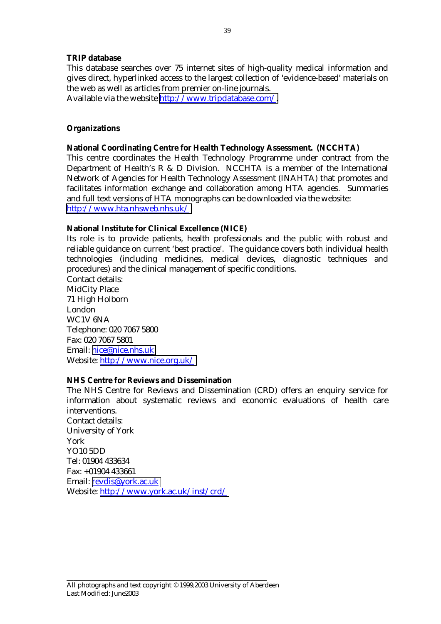#### **TRIP database**

This database searches over 75 internet sites of high-quality medical information and gives direct, hyperlinked access to the largest collection of 'evidence-based' materials on the web as well as articles from premier on-line journals.

Available via the website [http://www.tripdatabase.com/.](http://www.tripdatabase.com/)

#### **Organizations**

#### **National Coordinating Centre for Health Technology Assessment. (NCCHTA)**

This centre coordinates the Health Technology Programme under contract from the Department of Health's R & D Division. NCCHTA is a member of the International Network of Agencies for Health Technology Assessment (INAHTA) that promotes and facilitates information exchange and collaboration among HTA agencies. Summaries and full text versions of HTA monographs can be downloaded via the website: <http://www.hta.nhsweb.nhs.uk/>

#### **National Institute for Clinical Excellence (NICE)**

Its role is to provide patients, health professionals and the public with robust and reliable guidance on current 'best practice'. The guidance covers both individual health technologies (including medicines, medical devices, diagnostic techniques and procedures) and the clinical management of specific conditions.

Contact details: MidCity Place 71 High Holborn London WC1V 6NA Telephone: 020 7067 5800 Fax: 020 7067 5801 Email: nice@nice.nhs.uk Website: <http://www.nice.org.uk/>

#### **NHS Centre for Reviews and Dissemination**

The NHS Centre for Reviews and Dissemination (CRD) offers an enquiry service for information about systematic reviews and economic evaluations of health care interventions.

Contact details: University of York York YO10 5DD Tel: 01904 433634 Fax: +01904 433661 Email: [revdis@york.ac.uk](mailto:revdis@york.ac.uk) Website: <http://www.york.ac.uk/inst/crd/>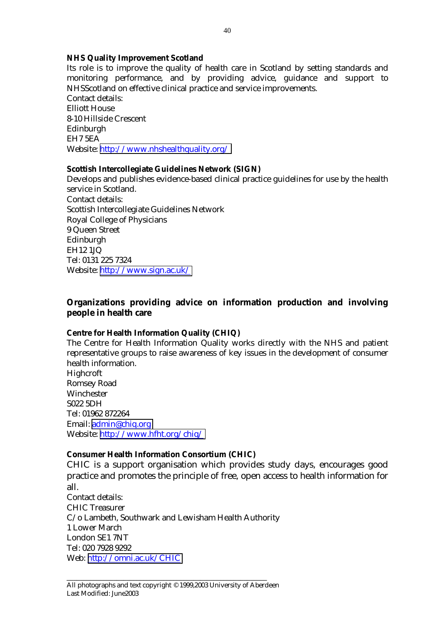#### **NHS Quality Improvement Scotland**

Its role is to improve the quality of health care in Scotland by setting standards and monitoring performance, and by providing advice, guidance and support to NHSScotland on effective clinical practice and service improvements. Contact details: Elliott House 8-10 Hillside Crescent Edinburgh EH7 5EA Website: <http://www.nhshealthquality.org/>

#### **Scottish Intercollegiate Guidelines Network (SIGN)**

Develops and publishes evidence-based clinical practice guidelines for use by the health service in Scotland. Contact details: Scottish Intercollegiate Guidelines Network Royal College of Physicians 9 Queen Street Edinburgh EH12 1JQ Tel: 0131 225 7324 Website: <http://www.sign.ac.uk/>

#### **Organizations providing advice on information production and involving people in health care**

#### **Centre for Health Information Quality (CHIQ)**

The Centre for Health Information Quality works directly with the NHS and patient representative groups to raise awareness of key issues in the development of consumer health information. Highcroft Romsey Road

Winchester S022 5DH Tel: 01962 872264 Email: [admin@chiq.org](mailto:admin@chiq.org) Website: <http://www.hfht.org/chiq/>

#### **Consumer Health Information Consortium (CHIC)**

CHIC is a support organisation which provides study days, encourages good practice and promotes the principle of free, open access to health information for all.

Contact details: CHIC Treasurer C/o Lambeth, Southwark and Lewisham Health Authority 1 Lower March London SE1 7NT Tel: 020 7928 9292 Web: <http://omni.ac.uk/CHIC>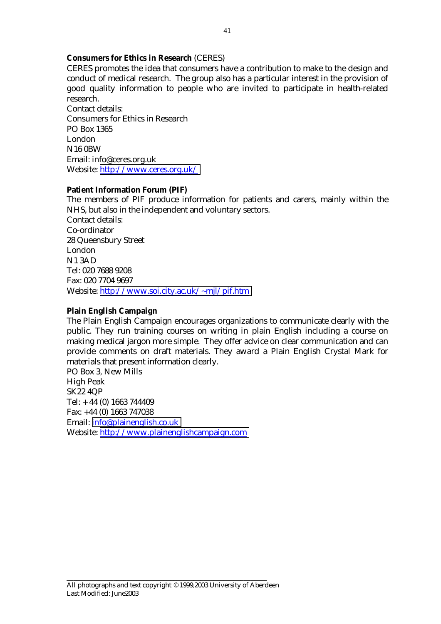#### **Consumers for Ethics in Research** (CERES)

CERES promotes the idea that consumers have a contribution to make to the design and conduct of medical research. The group also has a particular interest in the provision of good quality information to people who are invited to participate in health-related research.

Contact details: Consumers for Ethics in Research PO Box 1365 London N16 0BW Email: info@ceres.org.uk Website: <http://www.ceres.org.uk/>

#### **Patient Information Forum (PIF)**

The members of PIF produce information for patients and carers, mainly within the NHS, but also in the independent and voluntary sectors. Contact details: Co-ordinator 28 Queensbury Street London N1 3AD Tel: 020 7688 9208 Fax: 020 7704 9697 Website: <http://www.soi.city.ac.uk/~mjl/pif.htm>

#### **Plain English Campaign**

The Plain English Campaign encourages organizations to communicate clearly with the public. They run training courses on writing in plain English including a course on making medical jargon more simple. They offer advice on clear communication and can provide comments on draft materials. They award a Plain English Crystal Mark for materials that present information clearly.

PO Box 3, New Mills High Peak SK22 4QP Tel: + 44 (0) 1663 744409 Fax: +44 (0) 1663 747038 Email: [info@plainenglish.co.uk](mailto:info@plainenglish.co.uk) Website: [http://www.plainenglishcampaign.com](http://www.plainenglishcampaign.com/)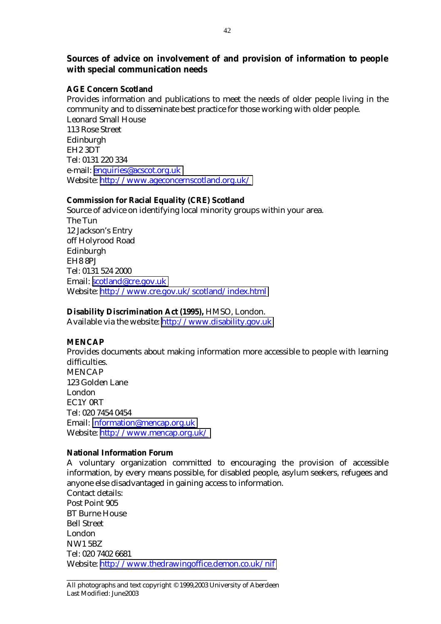### **Sources of advice on involvement of and provision of information to people with special communication needs**

#### **AGE Concern Scotland**

Provides information and publications to meet the needs of older people living in the community and to disseminate best practice for those working with older people. Leonard Small House 113 Rose Street Edinburgh EH2 3DT Tel: 0131 220 334 e-mail: [enquiries@acscot.org.uk](mailto:enquiries@acscot.org.uk) Website: <http://www.ageconcernscotland.org.uk/>

#### **Commission for Racial Equality (CRE) Scotland**

Source of advice on identifying local minority groups within your area. The Tun 12 Jackson's Entry off Holyrood Road Edinburgh EH8 8PJ Tel: 0131 524 2000 Email: [scotland@cre.gov.uk](mailto:scotland@cre.gov.uk) Website: <http://www.cre.gov.uk/scotland/index.html>

#### **Disability Discrimination Act (1995),** HMSO, London.

Available via the website: [http://www.disability.gov.uk](http://www.disability.gov.uk/)

#### **MENCAP**

Provides documents about making information more accessible to people with learning difficulties. MENCAP 123 Golden Lane London EC1Y 0RT Tel: 020 7454 0454 Email: [information@mencap.org.uk](mailto:information@mencap.org.uk) Website: <http://www.mencap.org.uk/>

#### **National Information Forum**

A voluntary organization committed to encouraging the provision of accessible information, by every means possible, for disabled people, asylum seekers, refugees and anyone else disadvantaged in gaining access to information. Contact details:

Post Point 905 BT Burne House Bell Street London NW1 5BZ Tel: 020 7402 6681 Website: <http://www.thedrawingoffice.demon.co.uk/nif>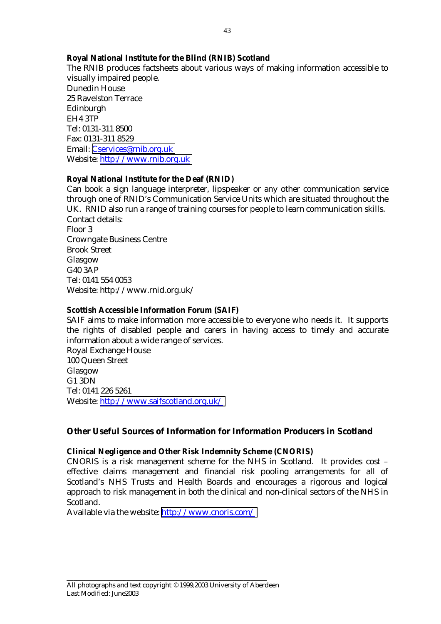#### **Royal National Institute for the Blind (RNIB) Scotland**

The RNIB produces factsheets about various ways of making information accessible to visually impaired people. Dunedin House 25 Ravelston Terrace Edinburgh EH4 3TP Tel: 0131-311 8500 Fax: 0131-311 8529 Email: [Cservices@rnib.org.uk](mailto:Cservices@rnib.org.uk) Website: [http://www.rnib.org.uk](http://www.rnib.org.uk/)

#### **Royal National Institute for the Deaf (RNID)**

Can book a sign language interpreter, lipspeaker or any other communication service through one of RNID's Communication Service Units which are situated throughout the UK. RNID also run a range of training courses for people to learn communication skills. Contact details: Floor 3 Crowngate Business Centre Brook Street Glasgow G40 3AP Tel: 0141 554 0053 Website: http://www.rnid.org.uk/

#### **Scottish Accessible Information Forum (SAIF)**

SAIF aims to make information more accessible to everyone who needs it. It supports the rights of disabled people and carers in having access to timely and accurate information about a wide range of services. Royal Exchange House 100 Queen Street Glasgow G1 3DN Tel: 0141 226 5261 Website: <http://www.saifscotland.org.uk/>

#### **Other Useful Sources of Information for Information Producers in Scotland**

#### **Clinical Negligence and Other Risk Indemnity Scheme (CNORIS)**

CNORIS is a risk management scheme for the NHS in Scotland. It provides cost – effective claims management and financial risk pooling arrangements for all of Scotland's NHS Trusts and Health Boards and encourages a rigorous and logical approach to risk management in both the clinical and non-clinical sectors of the NHS in Scotland.

Available via the website: <http://www.cnoris.com/>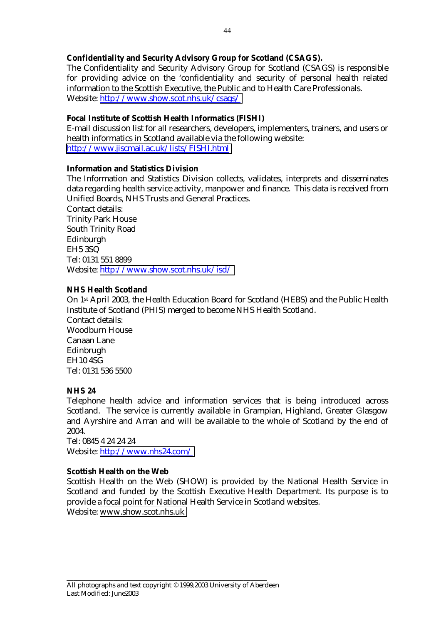#### **Confidentiality and Security Advisory Group for Scotland (CSAGS).**

The Confidentiality and Security Advisory Group for Scotland (CSAGS) is responsible for providing advice on the 'confidentiality and security of personal health related information to the Scottish Executive, the Public and to Health Care Professionals. Website: <http://www.show.scot.nhs.uk/csags/>

#### **Focal Institute of Scottish Health Informatics (FISHI)**

E-mail discussion list for all researchers, developers, implementers, trainers, and users or health informatics in Scotland available via the following website: <http://www.jiscmail.ac.uk/lists/FISHI.html>

#### **Information and Statistics Division**

The Information and Statistics Division collects, validates, interprets and disseminates data regarding health service activity, manpower and finance. This data is received from Unified Boards, NHS Trusts and General Practices. Contact details: Trinity Park House South Trinity Road Edinburgh

EH5 3SQ Tel: 0131 551 8899 Website: <http://www.show.scot.nhs.uk/isd/>

#### **NHS Health Scotland**

On 1st April 2003, the Health Education Board for Scotland (HEBS) and the Public Health Institute of Scotland (PHIS) merged to become NHS Health Scotland. Contact details: Woodburn House Canaan Lane Edinbrugh EH10 4SG Tel: 0131 536 5500

#### **NHS 24**

Telephone health advice and information services that is being introduced across Scotland. The service is currently available in Grampian, Highland, Greater Glasgow and Ayrshire and Arran and will be available to the whole of Scotland by the end of 2004.

Tel: 0845 4 24 24 24 Website: <http://www.nhs24.com/>

#### **Scottish Health on the Web**

Scottish Health on the Web (SHOW) is provided by the National Health Service in Scotland and funded by the Scottish Executive Health Department. Its purpose is to provide a focal point for National Health Service in Scotland websites. Website: [www.show.scot.nhs.uk](http://www.show.scot.nhs.uk/)